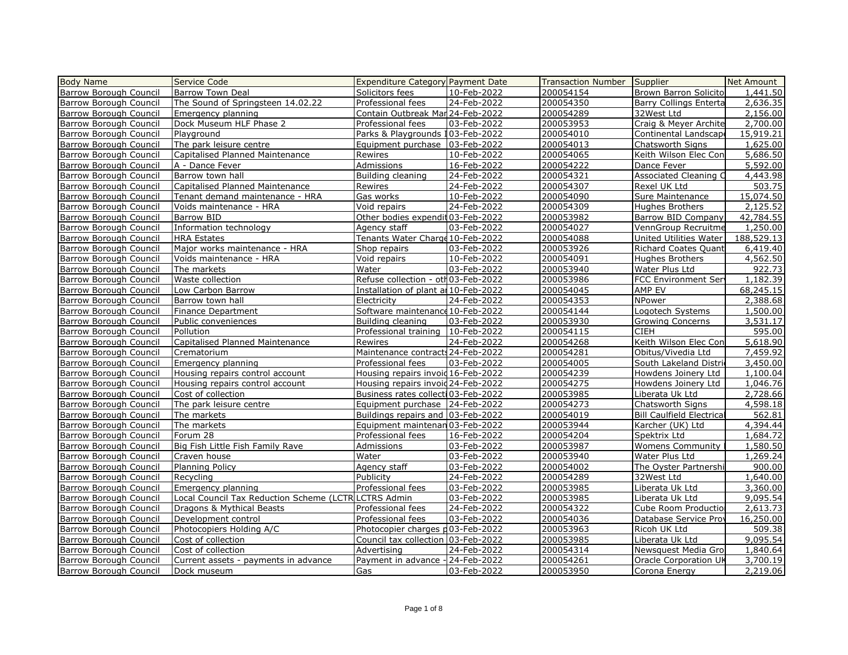| <b>Body Name</b>              | Service Code                                         | <b>Expenditure Category Payment Date</b> |             | Transaction Number | Supplier                         | Net Amount |
|-------------------------------|------------------------------------------------------|------------------------------------------|-------------|--------------------|----------------------------------|------------|
| Barrow Borough Council        | Barrow Town Deal                                     | Solicitors fees                          | 10-Feb-2022 | 200054154          | Brown Barron Solicito            | 1,441.50   |
| Barrow Borough Council        | The Sound of Springsteen 14.02.22                    | Professional fees                        | 24-Feb-2022 | 200054350          | <b>Barry Collings Enterta</b>    | 2,636.35   |
| Barrow Borough Council        | Emergency planning                                   | Contain Outbreak Mar 24-Feb-2022         |             | 200054289          | 32West Ltd                       | 2,156.00   |
| Barrow Borough Council        | Dock Museum HLF Phase 2                              | Professional fees                        | 03-Feb-2022 | 200053953          | Craig & Meyer Archite            | 2,700.00   |
| Barrow Borough Council        | Playground                                           | Parks & Playgrounds 103-Feb-2022         |             | 200054010          | Continental Landscape            | 15,919.21  |
| Barrow Borough Council        | The park leisure centre                              | Equipment purchase 03-Feb-2022           |             | 200054013          | Chatsworth Signs                 | 1,625.00   |
| Barrow Borough Council        | Capitalised Planned Maintenance                      | Rewires                                  | 10-Feb-2022 | 200054065          | Keith Wilson Elec Con            | 5,686.50   |
| Barrow Borough Council        | A - Dance Fever                                      | <b>Admissions</b>                        | 16-Feb-2022 | 200054222          | Dance Fever                      | 5,592.00   |
| Barrow Borough Council        | Barrow town hall                                     | Building cleaning                        | 24-Feb-2022 | 200054321          | Associated Cleaning C            | 4,443.98   |
| Barrow Borough Council        | Capitalised Planned Maintenance                      | Rewires                                  | 24-Feb-2022 | 200054307          | Rexel UK Ltd                     | 503.75     |
| Barrow Borough Council        | Tenant demand maintenance - HRA                      | Gas works                                | 10-Feb-2022 | 200054090          | Sure Maintenance                 | 15,074.50  |
| Barrow Borough Council        | Voids maintenance - HRA                              | Void repairs                             | 24-Feb-2022 | 200054309          | <b>Hughes Brothers</b>           | 2,125.52   |
| Barrow Borough Council        | Barrow BID                                           | Other bodies expendit 03-Feb-2022        |             | 200053982          | Barrow BID Company               | 42,784.55  |
| Barrow Borough Council        | Information technology                               | Agency staff                             | 03-Feb-2022 | 200054027          | VennGroup Recruitme              | 1,250.00   |
| Barrow Borough Council        | <b>HRA Estates</b>                                   | Tenants Water Charge 10-Feb-2022         |             | 200054088          | United Utilities Water           | 188,529.13 |
| Barrow Borough Council        | Major works maintenance - HRA                        | Shop repairs                             | 03-Feb-2022 | 200053926          | Richard Coates Quant             | 6,419.40   |
| Barrow Borough Council        | Voids maintenance - HRA                              | Void repairs                             | 10-Feb-2022 | 200054091          | Hughes Brothers                  | 4,562.50   |
| Barrow Borough Council        | The markets                                          | Water                                    | 03-Feb-2022 | 200053940          | Water Plus Ltd                   | 922.73     |
| Barrow Borough Council        | Waste collection                                     | Refuse collection - oth03-Feb-2022       |             | 200053986          | <b>FCC Environment Serv</b>      | 1,182.39   |
| Barrow Borough Council        | Low Carbon Barrow                                    | Installation of plant an 10-Feb-2022     |             | 200054045          | AMP EV                           | 68,245.15  |
| Barrow Borough Council        | Barrow town hall                                     | Electricity                              | 24-Feb-2022 | 200054353          | NPower                           | 2,388.68   |
| Barrow Borough Council        | Finance Department                                   | Software maintenance 10-Feb-2022         |             | 200054144          | Logotech Systems                 | 1,500.00   |
| Barrow Borough Council        | Public conveniences                                  | Building cleaning                        | 03-Feb-2022 | 200053930          | <b>Growing Concerns</b>          | 3,531.17   |
| Barrow Borough Council        | Pollution                                            | Professional training   10-Feb-2022      |             | 200054115          | <b>CIEH</b>                      | 595.00     |
| Barrow Borough Council        | Capitalised Planned Maintenance                      | Rewires                                  | 24-Feb-2022 | 200054268          | Keith Wilson Elec Con            | 5,618.90   |
| Barrow Borough Council        | Crematorium                                          | Maintenance contracts 24-Feb-2022        |             | 200054281          | Obitus/Vivedia Ltd               | 7,459.92   |
| Barrow Borough Council        | Emergency planning                                   | Professional fees                        | 03-Feb-2022 | 200054005          | South Lakeland Distric           | 3,450,00   |
| Barrow Borough Council        | Housing repairs control account                      | Housing repairs invoid 16-Feb-2022       |             | 200054239          | Howdens Joinery Ltd              | 1,100.04   |
| Barrow Borough Council        | Housing repairs control account                      | Housing repairs invoid 24-Feb-2022       |             | 200054275          | Howdens Joinery Ltd              | 1,046.76   |
| Barrow Borough Council        | Cost of collection                                   | Business rates collecti 03-Feb-2022      |             | 200053985          | Liberata Uk Ltd                  | 2,728.66   |
| Barrow Borough Council        | The park leisure centre                              | Equipment purchase 24-Feb-2022           |             | 200054273          | Chatsworth Signs                 | 4,598.18   |
| Barrow Borough Council        | The markets                                          | Buildings repairs and 03-Feb-2022        |             | 200054019          | <b>Bill Caulfield Electrical</b> | 562.81     |
| Barrow Borough Council        | The markets                                          | Equipment maintenan 03-Feb-2022          |             | 200053944          | Karcher (UK) Ltd                 | 4,394.44   |
| Barrow Borough Council        | Forum 28                                             | Professional fees                        | 16-Feb-2022 | 200054204          | Spektrix Ltd                     | 1,684.72   |
| Barrow Borough Council        | Big Fish Little Fish Family Rave                     | Admissions                               | 03-Feb-2022 | 200053987          | Womens Community                 | 1,580.50   |
| Barrow Borough Council        | Craven house                                         | Water                                    | 03-Feb-2022 | 200053940          | Water Plus Ltd                   | 1,269.24   |
| Barrow Borough Council        | <b>Planning Policy</b>                               | Agency staff                             | 03-Feb-2022 | 200054002          | The Oyster Partnershi            | 900.00     |
| Barrow Borough Council        | Recycling                                            | Publicity                                | 24-Feb-2022 | 200054289          | 32West Ltd                       | 1,640.00   |
| <b>Barrow Borough Council</b> | Emergency planning                                   | Professional fees                        | 03-Feb-2022 | 200053985          | Liberata Uk Ltd                  | 3,360.00   |
| <b>Barrow Borough Council</b> | Local Council Tax Reduction Scheme (LCTR LCTRS Admin |                                          | 03-Feb-2022 | 200053985          | Liberata Uk Ltd                  | 9,095.54   |
| Barrow Borough Council        | Dragons & Mythical Beasts                            | Professional fees                        | 24-Feb-2022 | 200054322          | Cube Room Production             | 2,613.73   |
| Barrow Borough Council        | Development control                                  | Professional fees                        | 03-Feb-2022 | 200054036          | Database Service Prov            | 16,250.00  |
| Barrow Borough Council        | Photocopiers Holding A/C                             | Photocopier charges p03-Feb-2022         |             | 200053963          | Ricoh UK Ltd                     | 509.38     |
| Barrow Borough Council        | Cost of collection                                   | Council tax collection 03-Feb-2022       |             | 200053985          | Liberata Uk Ltd                  | 9,095.54   |
| Barrow Borough Council        | Cost of collection                                   | Advertising                              | 24-Feb-2022 | 200054314          | Newsquest Media Gro              | 1,840.64   |
| Barrow Borough Council        | Current assets - payments in advance                 | Payment in advance - 24-Feb-2022         |             | 200054261          | Oracle Corporation UK            | 3,700.19   |
| <b>Barrow Borough Council</b> | Dock museum                                          | Gas                                      | 03-Feb-2022 | 200053950          | Corona Energy                    | 2,219.06   |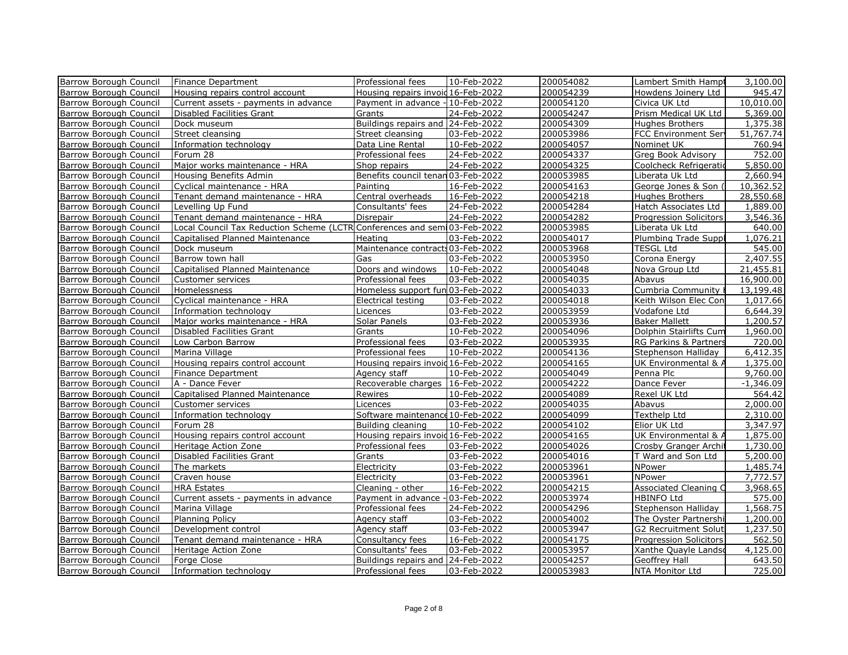| Barrow Borough Council        | Finance Department                                                       | Professional fees                  | 10-Feb-2022 | 200054082 | Lambert Smith Hampt          | 3,100.00    |
|-------------------------------|--------------------------------------------------------------------------|------------------------------------|-------------|-----------|------------------------------|-------------|
| Barrow Borough Council        | Housing repairs control account                                          | Housing repairs invoid 16-Feb-2022 |             | 200054239 | Howdens Joinery Ltd          | 945.47      |
| Barrow Borough Council        | Current assets - payments in advance                                     | Payment in advance -10-Feb-2022    |             | 200054120 | Civica UK Ltd                | 10,010.00   |
| Barrow Borough Council        | Disabled Facilities Grant                                                | Grants                             | 24-Feb-2022 | 200054247 | Prism Medical UK Ltd         | 5,369.00    |
| Barrow Borough Council        | Dock museum                                                              | Buildings repairs and 24-Feb-2022  |             | 200054309 | <b>Hughes Brothers</b>       | 1,375.38    |
| Barrow Borough Council        | Street cleansing                                                         | Street cleansing                   | 03-Feb-2022 | 200053986 | <b>FCC Environment Ser</b>   | 51,767.74   |
| Barrow Borough Council        | Information technology                                                   | Data Line Rental                   | 10-Feb-2022 | 200054057 | Nominet UK                   | 760.94      |
| Barrow Borough Council        | Forum 28                                                                 | Professional fees                  | 24-Feb-2022 | 200054337 | Greg Book Advisory           | 752.00      |
| Barrow Borough Council        | Major works maintenance - HRA                                            | Shop repairs                       | 24-Feb-2022 | 200054325 | Coolcheck Refrigeratio       | 5,850.00    |
| Barrow Borough Council        | Housing Benefits Admin                                                   | Benefits council tenan 03-Feb-2022 |             | 200053985 | Liberata Uk Ltd              | 2,660.94    |
| Barrow Borough Council        | Cyclical maintenance - HRA                                               | Painting                           | 16-Feb-2022 | 200054163 | George Jones & Son (         | 10,362.52   |
| Barrow Borough Council        | Tenant demand maintenance - HRA                                          | Central overheads                  | 16-Feb-2022 | 200054218 | <b>Hughes Brothers</b>       | 28,550.68   |
| Barrow Borough Council        | Levelling Up Fund                                                        | Consultants' fees                  | 24-Feb-2022 | 200054284 | Hatch Associates Ltd         | 1,889.00    |
| Barrow Borough Council        | Tenant demand maintenance - HRA                                          | Disrepair                          | 24-Feb-2022 | 200054282 | Progression Solicitors       | 3,546.36    |
| Barrow Borough Council        | Local Council Tax Reduction Scheme (LCTR Conferences and sem 03-Feb-2022 |                                    |             | 200053985 | Liberata Uk Ltd              | 640.00      |
| Barrow Borough Council        | Capitalised Planned Maintenance                                          | Heating                            | 03-Feb-2022 | 200054017 | Plumbing Trade Suppl         | 1,076.21    |
| Barrow Borough Council        | Dock museum                                                              | Maintenance contracts 03-Feb-2022  |             | 200053968 | <b>TESGL Ltd</b>             | 545.00      |
| Barrow Borough Council        | Barrow town hall                                                         | Gas                                | 03-Feb-2022 | 200053950 | Corona Energy                | 2,407.55    |
| Barrow Borough Council        | Capitalised Planned Maintenance                                          | Doors and windows                  | 10-Feb-2022 | 200054048 | Nova Group Ltd               | 21,455.81   |
| Barrow Borough Council        | Customer services                                                        | Professional fees                  | 03-Feb-2022 | 200054035 | Abavus                       | 16,900.00   |
| Barrow Borough Council        | Homelessness                                                             | Homeless support fun 03-Feb-2022   |             | 200054033 | Cumbria Community            | 13,199.48   |
| Barrow Borough Council        | Cyclical maintenance - HRA                                               | Electrical testing                 | 03-Feb-2022 | 200054018 | Keith Wilson Elec Con        | 1,017.66    |
| Barrow Borough Council        | Information technology                                                   | Licences                           | 03-Feb-2022 | 200053959 | Vodafone Ltd                 | 6,644.39    |
| Barrow Borough Council        | Major works maintenance - HRA                                            | Solar Panels                       | 03-Feb-2022 | 200053936 | <b>Baker Mallett</b>         | 1,200.57    |
| Barrow Borough Council        | Disabled Facilities Grant                                                | Grants                             | 10-Feb-2022 | 200054096 | Dolphin Stairlifts Cum       | 1,960.00    |
| Barrow Borough Council        | Low Carbon Barrow                                                        | Professional fees                  | 03-Feb-2022 | 200053935 | RG Parkins & Partners        | 720.00      |
| Barrow Borough Council        | Marina Village                                                           | Professional fees                  | 10-Feb-2022 | 200054136 | Stephenson Halliday          | 6,412.35    |
| Barrow Borough Council        | Housing repairs control account                                          | Housing repairs invoid 16-Feb-2022 |             | 200054165 | UK Environmental & A         | 1,375.00    |
| Barrow Borough Council        | Finance Department                                                       | Agency staff                       | 10-Feb-2022 | 200054049 | Penna Plc                    | 9,760.00    |
| Barrow Borough Council        | A - Dance Fever                                                          | Recoverable charges   16-Feb-2022  |             | 200054222 | Dance Fever                  | $-1,346.09$ |
| Barrow Borough Council        | Capitalised Planned Maintenance                                          | Rewires                            | 10-Feb-2022 | 200054089 | Rexel UK Ltd                 | 564.42      |
| Barrow Borough Council        | Customer services                                                        | Licences                           | 03-Feb-2022 | 200054035 | Abavus                       | 2,000.00    |
| Barrow Borough Council        | Information technology                                                   | Software maintenance 10-Feb-2022   |             | 200054099 | Texthelp Ltd                 | 2,310.00    |
| Barrow Borough Council        | Forum 28                                                                 | Building cleaning                  | 10-Feb-2022 | 200054102 | Elior UK Ltd                 | 3,347.97    |
| Barrow Borough Council        | Housing repairs control account                                          | Housing repairs invoid 16-Feb-2022 |             | 200054165 | UK Environmental & A         | 1,875.00    |
| Barrow Borough Council        | Heritage Action Zone                                                     | Professional fees                  | 03-Feb-2022 | 200054026 | Crosby Granger Archit        | 1,730.00    |
| Barrow Borough Council        | Disabled Facilities Grant                                                | Grants                             | 03-Feb-2022 | 200054016 | T Ward and Son Ltd           | 5,200.00    |
| Barrow Borough Council        | The markets                                                              | Electricity                        | 03-Feb-2022 | 200053961 | NPower                       | 1,485.74    |
| Barrow Borough Council        | Craven house                                                             | Electricity                        | 03-Feb-2022 | 200053961 | NPower                       | 7,772.57    |
| Barrow Borough Council        | <b>HRA Estates</b>                                                       | Cleaning - other                   | 16-Feb-2022 | 200054215 | Associated Cleaning C        | 3,968.65    |
| Barrow Borough Council        | Current assets - payments in advance                                     | Payment in advance - 03-Feb-2022   |             | 200053974 | <b>HBINFO Ltd</b>            | 575.00      |
| Barrow Borough Council        | Marina Village                                                           | Professional fees                  | 24-Feb-2022 | 200054296 | Stephenson Halliday          | 1,568.75    |
| Barrow Borough Council        | Planning Policy                                                          | Agency staff                       | 03-Feb-2022 | 200054002 | The Oyster Partnershi        | 1,200.00    |
| Barrow Borough Council        | Development control                                                      | Agency staff                       | 03-Feb-2022 | 200053947 | <b>G2 Recruitment Soluti</b> | 1,237.50    |
| Barrow Borough Council        | Tenant demand maintenance - HRA                                          | Consultancy fees                   | 16-Feb-2022 | 200054175 | Progression Solicitors       | 562.50      |
| Barrow Borough Council        | Heritage Action Zone                                                     | Consultants' fees                  | 03-Feb-2022 | 200053957 | Xanthe Quayle Landso         | 4,125.00    |
| <b>Barrow Borough Council</b> | Forge Close                                                              | Buildings repairs and 24-Feb-2022  |             | 200054257 | Geoffrey Hall                | 643.50      |
| Barrow Borough Council        | Information technology                                                   | Professional fees                  | 03-Feb-2022 | 200053983 | NTA Monitor Ltd              | 725.00      |
|                               |                                                                          |                                    |             |           |                              |             |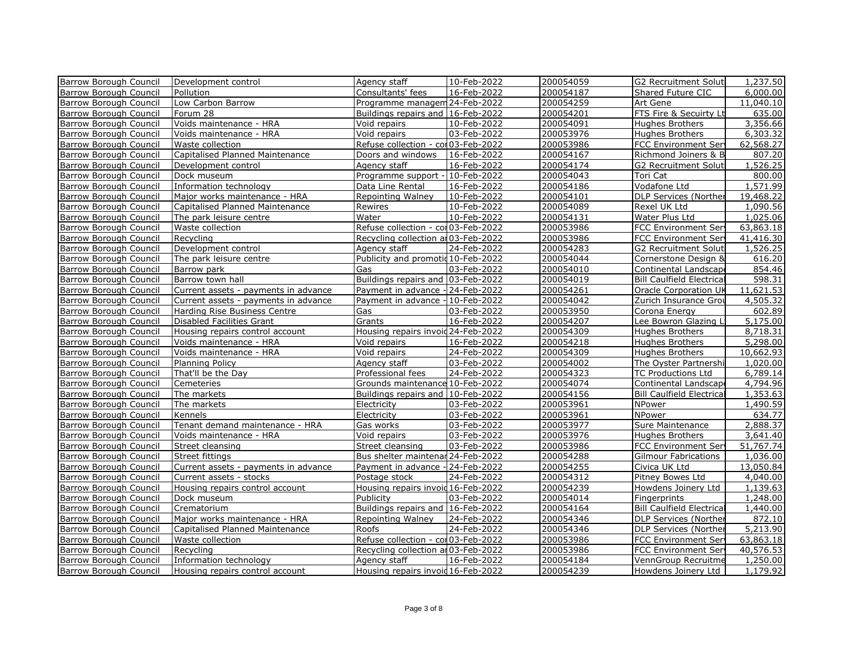| Development control<br>200054187<br>Barrow Borough Council<br>Pollution<br>Consultants' fees<br>16-Feb-2022<br>Shared Future CIC<br>Barrow Borough Council<br>Low Carbon Barrow<br>Programme managem 24-Feb-2022<br>200054259<br>Art Gene<br>FTS Fire & Secuirty Lt<br><b>Barrow Borough Council</b><br>Forum 28<br>200054201<br>Buildings repairs and 16-Feb-2022<br>Barrow Borough Council<br>Voids maintenance - HRA<br>10-Feb-2022<br>200054091<br>Void repairs<br>Hughes Brothers<br>200053976<br>Barrow Borough Council<br>Voids maintenance - HRA<br>Void repairs<br>03-Feb-2022<br><b>Hughes Brothers</b><br>Refuse collection - col 03-Feb-2022<br>Barrow Borough Council<br>Waste collection<br>200053986<br><b>FCC Environment Serv</b><br>200054167<br>Richmond Joiners & B<br>Barrow Borough Council<br>Capitalised Planned Maintenance<br>16-Feb-2022<br>Doors and windows<br>Barrow Borough Council<br>Agency staff<br>16-Feb-2022<br>200054174<br><b>G2 Recruitment Soluti</b><br>Development control<br>200054043<br>Barrow Borough Council<br>Dock museum<br>Programme support -<br>10-Feb-2022<br>Tori Cat<br>200054186<br>Vodafone Ltd<br>Barrow Borough Council<br>Information technology<br>16-Feb-2022<br>Data Line Rental<br>10-Feb-2022<br>200054101<br><b>DLP Services (Norther</b><br>Barrow Borough Council<br>Major works maintenance - HRA<br>Repointing Walney<br>200054089<br>Barrow Borough Council<br>Capitalised Planned Maintenance<br>Rewires<br>10-Feb-2022<br>Rexel UK Ltd<br>200054131<br>Barrow Borough Council<br>The park leisure centre<br>Water<br>10-Feb-2022<br>Water Plus Ltd<br>Refuse collection - col 03-Feb-2022<br>200053986<br>FCC Environment Ser<br>Barrow Borough Council<br>Waste collection<br>Recycling collection an 03-Feb-2022<br>200053986<br><b>FCC Environment Serv</b><br>Barrow Borough Council<br>Recycling<br>Development control<br>Agency staff<br>24-Feb-2022<br>200054283<br><b>G2 Recruitment Soluti</b><br>Barrow Borough Council<br>Barrow Borough Council<br>Publicity and promotid 10-Feb-2022<br>200054044<br>The park leisure centre<br>Cornerstone Design &<br>Barrow Borough Council<br>Gas<br>03-Feb-2022<br>200054010<br>Continental Landscape<br>Barrow park<br>Barrow town hall<br>Buildings repairs and 03-Feb-2022<br>200054019<br><b>Bill Caulfield Electrical</b><br>Barrow Borough Council<br>Barrow Borough Council<br>Payment in advance - 24-Feb-2022<br>200054261<br><b>Oracle Corporation UK</b><br>Current assets - payments in advance<br>200054042<br>Zurich Insurance Grou<br>Barrow Borough Council<br>Payment in advance - 10-Feb-2022<br>Current assets - payments in advance<br>200053950<br>Barrow Borough Council<br>Harding Rise Business Centre<br>Gas<br>03-Feb-2022<br>Corona Energy<br>200054207<br>Barrow Borough Council<br>Disabled Facilities Grant<br>Grants<br>16-Feb-2022<br>Lee Bowron Glazing Li<br>Housing repairs invoid 24-Feb-2022<br>200054309<br><b>Hughes Brothers</b><br>Barrow Borough Council<br>Housing repairs control account<br>16-Feb-2022<br>200054218<br>Barrow Borough Council<br>Voids maintenance - HRA<br>Void repairs<br>Hughes Brothers<br>Void repairs<br>24-Feb-2022<br>200054309<br><b>Hughes Brothers</b><br>Barrow Borough Council<br>Voids maintenance - HRA<br>03-Feb-2022<br>200054002<br>Barrow Borough Council<br>Planning Policy<br>Agency staff<br>The Oyster Partnershi<br>Barrow Borough Council<br>That'll be the Day<br>Professional fees<br>24-Feb-2022<br>200054323<br>TC Productions Ltd<br>Grounds maintenance 10-Feb-2022<br>200054074<br>Barrow Borough Council<br>Cemeteries<br>Continental Landscape<br>200054156<br><b>Bill Caulfield Electrical</b><br>Barrow Borough Council<br>The markets<br>Buildings repairs and 10-Feb-2022<br>Barrow Borough Council<br>03-Feb-2022<br>200053961<br>The markets<br>Electricity<br>NPower<br>200053961<br>NPower<br>Barrow Borough Council<br>Kennels<br>Electricity<br>03-Feb-2022<br>Barrow Borough Council<br>Tenant demand maintenance - HRA<br>Gas works<br>03-Feb-2022<br>200053977<br>Sure Maintenance<br>03-Feb-2022<br>200053976<br>Barrow Borough Council<br>Voids maintenance - HRA<br>Void repairs<br>Hughes Brothers<br>03-Feb-2022<br>200053986<br>Barrow Borough Council<br>Street cleansing<br>Street cleansing<br><b>FCC Environment Serv</b><br>Bus shelter maintenar 24-Feb-2022<br>200054288<br>Barrow Borough Council<br>Street fittings<br>Gilmour Fabrications<br>Payment in advance - 24-Feb-2022<br>200054255<br>Civica UK Ltd<br>Barrow Borough Council<br>Current assets - payments in advance<br>200054312<br>Barrow Borough Council<br>Current assets - stocks<br>Postage stock<br>24-Feb-2022<br>Pitney Bowes Ltd<br>Housing repairs invoid 16-Feb-2022<br>200054239<br>Howdens Joinery Ltd<br>Barrow Borough Council<br>Housing repairs control account<br>Barrow Borough Council<br>03-Feb-2022<br>200054014<br>Dock museum<br>Publicity<br>Fingerprints<br>Buildings repairs and 16-Feb-2022<br>200054164<br><b>Bill Caulfield Electrical</b><br>Barrow Borough Council<br>Crematorium<br>Barrow Borough Council<br>Major works maintenance - HRA<br>Repointing Walney<br>200054346<br>24-Feb-2022<br>DLP Services (Norther<br>Roofs<br>24-Feb-2022<br>200054346<br>DLP Services (Norther<br>Barrow Borough Council<br>Capitalised Planned Maintenance<br>Refuse collection - col 03-Feb-2022<br>Barrow Borough Council<br>Waste collection<br>200053986<br><b>FCC Environment Serv</b><br>Recycling collection an 03-Feb-2022<br>200053986<br>Recycling<br>FCC Environment Serv<br>Barrow Borough Council |                        |                        |              |             |           |                              |                        |
|-------------------------------------------------------------------------------------------------------------------------------------------------------------------------------------------------------------------------------------------------------------------------------------------------------------------------------------------------------------------------------------------------------------------------------------------------------------------------------------------------------------------------------------------------------------------------------------------------------------------------------------------------------------------------------------------------------------------------------------------------------------------------------------------------------------------------------------------------------------------------------------------------------------------------------------------------------------------------------------------------------------------------------------------------------------------------------------------------------------------------------------------------------------------------------------------------------------------------------------------------------------------------------------------------------------------------------------------------------------------------------------------------------------------------------------------------------------------------------------------------------------------------------------------------------------------------------------------------------------------------------------------------------------------------------------------------------------------------------------------------------------------------------------------------------------------------------------------------------------------------------------------------------------------------------------------------------------------------------------------------------------------------------------------------------------------------------------------------------------------------------------------------------------------------------------------------------------------------------------------------------------------------------------------------------------------------------------------------------------------------------------------------------------------------------------------------------------------------------------------------------------------------------------------------------------------------------------------------------------------------------------------------------------------------------------------------------------------------------------------------------------------------------------------------------------------------------------------------------------------------------------------------------------------------------------------------------------------------------------------------------------------------------------------------------------------------------------------------------------------------------------------------------------------------------------------------------------------------------------------------------------------------------------------------------------------------------------------------------------------------------------------------------------------------------------------------------------------------------------------------------------------------------------------------------------------------------------------------------------------------------------------------------------------------------------------------------------------------------------------------------------------------------------------------------------------------------------------------------------------------------------------------------------------------------------------------------------------------------------------------------------------------------------------------------------------------------------------------------------------------------------------------------------------------------------------------------------------------------------------------------------------------------------------------------------------------------------------------------------------------------------------------------------------------------------------------------------------------------------------------------------------------------------------------------------------------------------------------------------------------------------------------------------------------------------------------------------------------------------------------------------------------------------------------------------------------------------------------------------------------------------------------------------------------------------------------------------------------------------------------------------------------------------------------------------------------------------------------------------------------------------------------------------------------------------------------------------------------------------------------------------------------------------------------------------------------------------------------------------------------------------------------------------------------------------------------------------------------------------------------------------------------------------------------------------------------------------------------------------------------------------------------------------|------------------------|------------------------|--------------|-------------|-----------|------------------------------|------------------------|
|                                                                                                                                                                                                                                                                                                                                                                                                                                                                                                                                                                                                                                                                                                                                                                                                                                                                                                                                                                                                                                                                                                                                                                                                                                                                                                                                                                                                                                                                                                                                                                                                                                                                                                                                                                                                                                                                                                                                                                                                                                                                                                                                                                                                                                                                                                                                                                                                                                                                                                                                                                                                                                                                                                                                                                                                                                                                                                                                                                                                                                                                                                                                                                                                                                                                                                                                                                                                                                                                                                                                                                                                                                                                                                                                                                                                                                                                                                                                                                                                                                                                                                                                                                                                                                                                                                                                                                                                                                                                                                                                                                                                                                                                                                                                                                                                                                                                                                                                                                                                                                                                                                                                                                                                                                                                                                                                                                                                                                                                                                                                                                                                                                                             | Barrow Borough Council |                        | Agency staff | 10-Feb-2022 | 200054059 | <b>G2 Recruitment Soluti</b> | 1,237.50               |
|                                                                                                                                                                                                                                                                                                                                                                                                                                                                                                                                                                                                                                                                                                                                                                                                                                                                                                                                                                                                                                                                                                                                                                                                                                                                                                                                                                                                                                                                                                                                                                                                                                                                                                                                                                                                                                                                                                                                                                                                                                                                                                                                                                                                                                                                                                                                                                                                                                                                                                                                                                                                                                                                                                                                                                                                                                                                                                                                                                                                                                                                                                                                                                                                                                                                                                                                                                                                                                                                                                                                                                                                                                                                                                                                                                                                                                                                                                                                                                                                                                                                                                                                                                                                                                                                                                                                                                                                                                                                                                                                                                                                                                                                                                                                                                                                                                                                                                                                                                                                                                                                                                                                                                                                                                                                                                                                                                                                                                                                                                                                                                                                                                                             |                        |                        |              |             |           |                              | 6,000.00               |
|                                                                                                                                                                                                                                                                                                                                                                                                                                                                                                                                                                                                                                                                                                                                                                                                                                                                                                                                                                                                                                                                                                                                                                                                                                                                                                                                                                                                                                                                                                                                                                                                                                                                                                                                                                                                                                                                                                                                                                                                                                                                                                                                                                                                                                                                                                                                                                                                                                                                                                                                                                                                                                                                                                                                                                                                                                                                                                                                                                                                                                                                                                                                                                                                                                                                                                                                                                                                                                                                                                                                                                                                                                                                                                                                                                                                                                                                                                                                                                                                                                                                                                                                                                                                                                                                                                                                                                                                                                                                                                                                                                                                                                                                                                                                                                                                                                                                                                                                                                                                                                                                                                                                                                                                                                                                                                                                                                                                                                                                                                                                                                                                                                                             |                        |                        |              |             |           |                              | $\overline{11,040.10}$ |
|                                                                                                                                                                                                                                                                                                                                                                                                                                                                                                                                                                                                                                                                                                                                                                                                                                                                                                                                                                                                                                                                                                                                                                                                                                                                                                                                                                                                                                                                                                                                                                                                                                                                                                                                                                                                                                                                                                                                                                                                                                                                                                                                                                                                                                                                                                                                                                                                                                                                                                                                                                                                                                                                                                                                                                                                                                                                                                                                                                                                                                                                                                                                                                                                                                                                                                                                                                                                                                                                                                                                                                                                                                                                                                                                                                                                                                                                                                                                                                                                                                                                                                                                                                                                                                                                                                                                                                                                                                                                                                                                                                                                                                                                                                                                                                                                                                                                                                                                                                                                                                                                                                                                                                                                                                                                                                                                                                                                                                                                                                                                                                                                                                                             |                        |                        |              |             |           |                              | 635.00                 |
|                                                                                                                                                                                                                                                                                                                                                                                                                                                                                                                                                                                                                                                                                                                                                                                                                                                                                                                                                                                                                                                                                                                                                                                                                                                                                                                                                                                                                                                                                                                                                                                                                                                                                                                                                                                                                                                                                                                                                                                                                                                                                                                                                                                                                                                                                                                                                                                                                                                                                                                                                                                                                                                                                                                                                                                                                                                                                                                                                                                                                                                                                                                                                                                                                                                                                                                                                                                                                                                                                                                                                                                                                                                                                                                                                                                                                                                                                                                                                                                                                                                                                                                                                                                                                                                                                                                                                                                                                                                                                                                                                                                                                                                                                                                                                                                                                                                                                                                                                                                                                                                                                                                                                                                                                                                                                                                                                                                                                                                                                                                                                                                                                                                             |                        |                        |              |             |           |                              | 3,356.66               |
|                                                                                                                                                                                                                                                                                                                                                                                                                                                                                                                                                                                                                                                                                                                                                                                                                                                                                                                                                                                                                                                                                                                                                                                                                                                                                                                                                                                                                                                                                                                                                                                                                                                                                                                                                                                                                                                                                                                                                                                                                                                                                                                                                                                                                                                                                                                                                                                                                                                                                                                                                                                                                                                                                                                                                                                                                                                                                                                                                                                                                                                                                                                                                                                                                                                                                                                                                                                                                                                                                                                                                                                                                                                                                                                                                                                                                                                                                                                                                                                                                                                                                                                                                                                                                                                                                                                                                                                                                                                                                                                                                                                                                                                                                                                                                                                                                                                                                                                                                                                                                                                                                                                                                                                                                                                                                                                                                                                                                                                                                                                                                                                                                                                             |                        |                        |              |             |           |                              | 6,303.32               |
|                                                                                                                                                                                                                                                                                                                                                                                                                                                                                                                                                                                                                                                                                                                                                                                                                                                                                                                                                                                                                                                                                                                                                                                                                                                                                                                                                                                                                                                                                                                                                                                                                                                                                                                                                                                                                                                                                                                                                                                                                                                                                                                                                                                                                                                                                                                                                                                                                                                                                                                                                                                                                                                                                                                                                                                                                                                                                                                                                                                                                                                                                                                                                                                                                                                                                                                                                                                                                                                                                                                                                                                                                                                                                                                                                                                                                                                                                                                                                                                                                                                                                                                                                                                                                                                                                                                                                                                                                                                                                                                                                                                                                                                                                                                                                                                                                                                                                                                                                                                                                                                                                                                                                                                                                                                                                                                                                                                                                                                                                                                                                                                                                                                             |                        |                        |              |             |           |                              | 62,568.27              |
|                                                                                                                                                                                                                                                                                                                                                                                                                                                                                                                                                                                                                                                                                                                                                                                                                                                                                                                                                                                                                                                                                                                                                                                                                                                                                                                                                                                                                                                                                                                                                                                                                                                                                                                                                                                                                                                                                                                                                                                                                                                                                                                                                                                                                                                                                                                                                                                                                                                                                                                                                                                                                                                                                                                                                                                                                                                                                                                                                                                                                                                                                                                                                                                                                                                                                                                                                                                                                                                                                                                                                                                                                                                                                                                                                                                                                                                                                                                                                                                                                                                                                                                                                                                                                                                                                                                                                                                                                                                                                                                                                                                                                                                                                                                                                                                                                                                                                                                                                                                                                                                                                                                                                                                                                                                                                                                                                                                                                                                                                                                                                                                                                                                             |                        |                        |              |             |           |                              | 807.20                 |
|                                                                                                                                                                                                                                                                                                                                                                                                                                                                                                                                                                                                                                                                                                                                                                                                                                                                                                                                                                                                                                                                                                                                                                                                                                                                                                                                                                                                                                                                                                                                                                                                                                                                                                                                                                                                                                                                                                                                                                                                                                                                                                                                                                                                                                                                                                                                                                                                                                                                                                                                                                                                                                                                                                                                                                                                                                                                                                                                                                                                                                                                                                                                                                                                                                                                                                                                                                                                                                                                                                                                                                                                                                                                                                                                                                                                                                                                                                                                                                                                                                                                                                                                                                                                                                                                                                                                                                                                                                                                                                                                                                                                                                                                                                                                                                                                                                                                                                                                                                                                                                                                                                                                                                                                                                                                                                                                                                                                                                                                                                                                                                                                                                                             |                        |                        |              |             |           |                              | 1,526.25               |
|                                                                                                                                                                                                                                                                                                                                                                                                                                                                                                                                                                                                                                                                                                                                                                                                                                                                                                                                                                                                                                                                                                                                                                                                                                                                                                                                                                                                                                                                                                                                                                                                                                                                                                                                                                                                                                                                                                                                                                                                                                                                                                                                                                                                                                                                                                                                                                                                                                                                                                                                                                                                                                                                                                                                                                                                                                                                                                                                                                                                                                                                                                                                                                                                                                                                                                                                                                                                                                                                                                                                                                                                                                                                                                                                                                                                                                                                                                                                                                                                                                                                                                                                                                                                                                                                                                                                                                                                                                                                                                                                                                                                                                                                                                                                                                                                                                                                                                                                                                                                                                                                                                                                                                                                                                                                                                                                                                                                                                                                                                                                                                                                                                                             |                        |                        |              |             |           |                              | 800.00                 |
|                                                                                                                                                                                                                                                                                                                                                                                                                                                                                                                                                                                                                                                                                                                                                                                                                                                                                                                                                                                                                                                                                                                                                                                                                                                                                                                                                                                                                                                                                                                                                                                                                                                                                                                                                                                                                                                                                                                                                                                                                                                                                                                                                                                                                                                                                                                                                                                                                                                                                                                                                                                                                                                                                                                                                                                                                                                                                                                                                                                                                                                                                                                                                                                                                                                                                                                                                                                                                                                                                                                                                                                                                                                                                                                                                                                                                                                                                                                                                                                                                                                                                                                                                                                                                                                                                                                                                                                                                                                                                                                                                                                                                                                                                                                                                                                                                                                                                                                                                                                                                                                                                                                                                                                                                                                                                                                                                                                                                                                                                                                                                                                                                                                             |                        |                        |              |             |           |                              | 1,571.99               |
|                                                                                                                                                                                                                                                                                                                                                                                                                                                                                                                                                                                                                                                                                                                                                                                                                                                                                                                                                                                                                                                                                                                                                                                                                                                                                                                                                                                                                                                                                                                                                                                                                                                                                                                                                                                                                                                                                                                                                                                                                                                                                                                                                                                                                                                                                                                                                                                                                                                                                                                                                                                                                                                                                                                                                                                                                                                                                                                                                                                                                                                                                                                                                                                                                                                                                                                                                                                                                                                                                                                                                                                                                                                                                                                                                                                                                                                                                                                                                                                                                                                                                                                                                                                                                                                                                                                                                                                                                                                                                                                                                                                                                                                                                                                                                                                                                                                                                                                                                                                                                                                                                                                                                                                                                                                                                                                                                                                                                                                                                                                                                                                                                                                             |                        |                        |              |             |           |                              | 19,468.22              |
|                                                                                                                                                                                                                                                                                                                                                                                                                                                                                                                                                                                                                                                                                                                                                                                                                                                                                                                                                                                                                                                                                                                                                                                                                                                                                                                                                                                                                                                                                                                                                                                                                                                                                                                                                                                                                                                                                                                                                                                                                                                                                                                                                                                                                                                                                                                                                                                                                                                                                                                                                                                                                                                                                                                                                                                                                                                                                                                                                                                                                                                                                                                                                                                                                                                                                                                                                                                                                                                                                                                                                                                                                                                                                                                                                                                                                                                                                                                                                                                                                                                                                                                                                                                                                                                                                                                                                                                                                                                                                                                                                                                                                                                                                                                                                                                                                                                                                                                                                                                                                                                                                                                                                                                                                                                                                                                                                                                                                                                                                                                                                                                                                                                             |                        |                        |              |             |           |                              | 1,090.56               |
|                                                                                                                                                                                                                                                                                                                                                                                                                                                                                                                                                                                                                                                                                                                                                                                                                                                                                                                                                                                                                                                                                                                                                                                                                                                                                                                                                                                                                                                                                                                                                                                                                                                                                                                                                                                                                                                                                                                                                                                                                                                                                                                                                                                                                                                                                                                                                                                                                                                                                                                                                                                                                                                                                                                                                                                                                                                                                                                                                                                                                                                                                                                                                                                                                                                                                                                                                                                                                                                                                                                                                                                                                                                                                                                                                                                                                                                                                                                                                                                                                                                                                                                                                                                                                                                                                                                                                                                                                                                                                                                                                                                                                                                                                                                                                                                                                                                                                                                                                                                                                                                                                                                                                                                                                                                                                                                                                                                                                                                                                                                                                                                                                                                             |                        |                        |              |             |           |                              | 1,025.06               |
|                                                                                                                                                                                                                                                                                                                                                                                                                                                                                                                                                                                                                                                                                                                                                                                                                                                                                                                                                                                                                                                                                                                                                                                                                                                                                                                                                                                                                                                                                                                                                                                                                                                                                                                                                                                                                                                                                                                                                                                                                                                                                                                                                                                                                                                                                                                                                                                                                                                                                                                                                                                                                                                                                                                                                                                                                                                                                                                                                                                                                                                                                                                                                                                                                                                                                                                                                                                                                                                                                                                                                                                                                                                                                                                                                                                                                                                                                                                                                                                                                                                                                                                                                                                                                                                                                                                                                                                                                                                                                                                                                                                                                                                                                                                                                                                                                                                                                                                                                                                                                                                                                                                                                                                                                                                                                                                                                                                                                                                                                                                                                                                                                                                             |                        |                        |              |             |           |                              | 63,863.18              |
|                                                                                                                                                                                                                                                                                                                                                                                                                                                                                                                                                                                                                                                                                                                                                                                                                                                                                                                                                                                                                                                                                                                                                                                                                                                                                                                                                                                                                                                                                                                                                                                                                                                                                                                                                                                                                                                                                                                                                                                                                                                                                                                                                                                                                                                                                                                                                                                                                                                                                                                                                                                                                                                                                                                                                                                                                                                                                                                                                                                                                                                                                                                                                                                                                                                                                                                                                                                                                                                                                                                                                                                                                                                                                                                                                                                                                                                                                                                                                                                                                                                                                                                                                                                                                                                                                                                                                                                                                                                                                                                                                                                                                                                                                                                                                                                                                                                                                                                                                                                                                                                                                                                                                                                                                                                                                                                                                                                                                                                                                                                                                                                                                                                             |                        |                        |              |             |           |                              | 41,416.30              |
|                                                                                                                                                                                                                                                                                                                                                                                                                                                                                                                                                                                                                                                                                                                                                                                                                                                                                                                                                                                                                                                                                                                                                                                                                                                                                                                                                                                                                                                                                                                                                                                                                                                                                                                                                                                                                                                                                                                                                                                                                                                                                                                                                                                                                                                                                                                                                                                                                                                                                                                                                                                                                                                                                                                                                                                                                                                                                                                                                                                                                                                                                                                                                                                                                                                                                                                                                                                                                                                                                                                                                                                                                                                                                                                                                                                                                                                                                                                                                                                                                                                                                                                                                                                                                                                                                                                                                                                                                                                                                                                                                                                                                                                                                                                                                                                                                                                                                                                                                                                                                                                                                                                                                                                                                                                                                                                                                                                                                                                                                                                                                                                                                                                             |                        |                        |              |             |           |                              | 1,526.25               |
|                                                                                                                                                                                                                                                                                                                                                                                                                                                                                                                                                                                                                                                                                                                                                                                                                                                                                                                                                                                                                                                                                                                                                                                                                                                                                                                                                                                                                                                                                                                                                                                                                                                                                                                                                                                                                                                                                                                                                                                                                                                                                                                                                                                                                                                                                                                                                                                                                                                                                                                                                                                                                                                                                                                                                                                                                                                                                                                                                                                                                                                                                                                                                                                                                                                                                                                                                                                                                                                                                                                                                                                                                                                                                                                                                                                                                                                                                                                                                                                                                                                                                                                                                                                                                                                                                                                                                                                                                                                                                                                                                                                                                                                                                                                                                                                                                                                                                                                                                                                                                                                                                                                                                                                                                                                                                                                                                                                                                                                                                                                                                                                                                                                             |                        |                        |              |             |           |                              | 616.20                 |
|                                                                                                                                                                                                                                                                                                                                                                                                                                                                                                                                                                                                                                                                                                                                                                                                                                                                                                                                                                                                                                                                                                                                                                                                                                                                                                                                                                                                                                                                                                                                                                                                                                                                                                                                                                                                                                                                                                                                                                                                                                                                                                                                                                                                                                                                                                                                                                                                                                                                                                                                                                                                                                                                                                                                                                                                                                                                                                                                                                                                                                                                                                                                                                                                                                                                                                                                                                                                                                                                                                                                                                                                                                                                                                                                                                                                                                                                                                                                                                                                                                                                                                                                                                                                                                                                                                                                                                                                                                                                                                                                                                                                                                                                                                                                                                                                                                                                                                                                                                                                                                                                                                                                                                                                                                                                                                                                                                                                                                                                                                                                                                                                                                                             |                        |                        |              |             |           |                              | 854.46                 |
|                                                                                                                                                                                                                                                                                                                                                                                                                                                                                                                                                                                                                                                                                                                                                                                                                                                                                                                                                                                                                                                                                                                                                                                                                                                                                                                                                                                                                                                                                                                                                                                                                                                                                                                                                                                                                                                                                                                                                                                                                                                                                                                                                                                                                                                                                                                                                                                                                                                                                                                                                                                                                                                                                                                                                                                                                                                                                                                                                                                                                                                                                                                                                                                                                                                                                                                                                                                                                                                                                                                                                                                                                                                                                                                                                                                                                                                                                                                                                                                                                                                                                                                                                                                                                                                                                                                                                                                                                                                                                                                                                                                                                                                                                                                                                                                                                                                                                                                                                                                                                                                                                                                                                                                                                                                                                                                                                                                                                                                                                                                                                                                                                                                             |                        |                        |              |             |           |                              | 598.31                 |
|                                                                                                                                                                                                                                                                                                                                                                                                                                                                                                                                                                                                                                                                                                                                                                                                                                                                                                                                                                                                                                                                                                                                                                                                                                                                                                                                                                                                                                                                                                                                                                                                                                                                                                                                                                                                                                                                                                                                                                                                                                                                                                                                                                                                                                                                                                                                                                                                                                                                                                                                                                                                                                                                                                                                                                                                                                                                                                                                                                                                                                                                                                                                                                                                                                                                                                                                                                                                                                                                                                                                                                                                                                                                                                                                                                                                                                                                                                                                                                                                                                                                                                                                                                                                                                                                                                                                                                                                                                                                                                                                                                                                                                                                                                                                                                                                                                                                                                                                                                                                                                                                                                                                                                                                                                                                                                                                                                                                                                                                                                                                                                                                                                                             |                        |                        |              |             |           |                              | 11,621.53              |
|                                                                                                                                                                                                                                                                                                                                                                                                                                                                                                                                                                                                                                                                                                                                                                                                                                                                                                                                                                                                                                                                                                                                                                                                                                                                                                                                                                                                                                                                                                                                                                                                                                                                                                                                                                                                                                                                                                                                                                                                                                                                                                                                                                                                                                                                                                                                                                                                                                                                                                                                                                                                                                                                                                                                                                                                                                                                                                                                                                                                                                                                                                                                                                                                                                                                                                                                                                                                                                                                                                                                                                                                                                                                                                                                                                                                                                                                                                                                                                                                                                                                                                                                                                                                                                                                                                                                                                                                                                                                                                                                                                                                                                                                                                                                                                                                                                                                                                                                                                                                                                                                                                                                                                                                                                                                                                                                                                                                                                                                                                                                                                                                                                                             |                        |                        |              |             |           |                              | $\overline{4,}505.32$  |
|                                                                                                                                                                                                                                                                                                                                                                                                                                                                                                                                                                                                                                                                                                                                                                                                                                                                                                                                                                                                                                                                                                                                                                                                                                                                                                                                                                                                                                                                                                                                                                                                                                                                                                                                                                                                                                                                                                                                                                                                                                                                                                                                                                                                                                                                                                                                                                                                                                                                                                                                                                                                                                                                                                                                                                                                                                                                                                                                                                                                                                                                                                                                                                                                                                                                                                                                                                                                                                                                                                                                                                                                                                                                                                                                                                                                                                                                                                                                                                                                                                                                                                                                                                                                                                                                                                                                                                                                                                                                                                                                                                                                                                                                                                                                                                                                                                                                                                                                                                                                                                                                                                                                                                                                                                                                                                                                                                                                                                                                                                                                                                                                                                                             |                        |                        |              |             |           |                              | 602.89                 |
|                                                                                                                                                                                                                                                                                                                                                                                                                                                                                                                                                                                                                                                                                                                                                                                                                                                                                                                                                                                                                                                                                                                                                                                                                                                                                                                                                                                                                                                                                                                                                                                                                                                                                                                                                                                                                                                                                                                                                                                                                                                                                                                                                                                                                                                                                                                                                                                                                                                                                                                                                                                                                                                                                                                                                                                                                                                                                                                                                                                                                                                                                                                                                                                                                                                                                                                                                                                                                                                                                                                                                                                                                                                                                                                                                                                                                                                                                                                                                                                                                                                                                                                                                                                                                                                                                                                                                                                                                                                                                                                                                                                                                                                                                                                                                                                                                                                                                                                                                                                                                                                                                                                                                                                                                                                                                                                                                                                                                                                                                                                                                                                                                                                             |                        |                        |              |             |           |                              | 5,175.00               |
|                                                                                                                                                                                                                                                                                                                                                                                                                                                                                                                                                                                                                                                                                                                                                                                                                                                                                                                                                                                                                                                                                                                                                                                                                                                                                                                                                                                                                                                                                                                                                                                                                                                                                                                                                                                                                                                                                                                                                                                                                                                                                                                                                                                                                                                                                                                                                                                                                                                                                                                                                                                                                                                                                                                                                                                                                                                                                                                                                                                                                                                                                                                                                                                                                                                                                                                                                                                                                                                                                                                                                                                                                                                                                                                                                                                                                                                                                                                                                                                                                                                                                                                                                                                                                                                                                                                                                                                                                                                                                                                                                                                                                                                                                                                                                                                                                                                                                                                                                                                                                                                                                                                                                                                                                                                                                                                                                                                                                                                                                                                                                                                                                                                             |                        |                        |              |             |           |                              | 8,718.31               |
|                                                                                                                                                                                                                                                                                                                                                                                                                                                                                                                                                                                                                                                                                                                                                                                                                                                                                                                                                                                                                                                                                                                                                                                                                                                                                                                                                                                                                                                                                                                                                                                                                                                                                                                                                                                                                                                                                                                                                                                                                                                                                                                                                                                                                                                                                                                                                                                                                                                                                                                                                                                                                                                                                                                                                                                                                                                                                                                                                                                                                                                                                                                                                                                                                                                                                                                                                                                                                                                                                                                                                                                                                                                                                                                                                                                                                                                                                                                                                                                                                                                                                                                                                                                                                                                                                                                                                                                                                                                                                                                                                                                                                                                                                                                                                                                                                                                                                                                                                                                                                                                                                                                                                                                                                                                                                                                                                                                                                                                                                                                                                                                                                                                             |                        |                        |              |             |           |                              | 5,298.00               |
|                                                                                                                                                                                                                                                                                                                                                                                                                                                                                                                                                                                                                                                                                                                                                                                                                                                                                                                                                                                                                                                                                                                                                                                                                                                                                                                                                                                                                                                                                                                                                                                                                                                                                                                                                                                                                                                                                                                                                                                                                                                                                                                                                                                                                                                                                                                                                                                                                                                                                                                                                                                                                                                                                                                                                                                                                                                                                                                                                                                                                                                                                                                                                                                                                                                                                                                                                                                                                                                                                                                                                                                                                                                                                                                                                                                                                                                                                                                                                                                                                                                                                                                                                                                                                                                                                                                                                                                                                                                                                                                                                                                                                                                                                                                                                                                                                                                                                                                                                                                                                                                                                                                                                                                                                                                                                                                                                                                                                                                                                                                                                                                                                                                             |                        |                        |              |             |           |                              | 10,662.93              |
|                                                                                                                                                                                                                                                                                                                                                                                                                                                                                                                                                                                                                                                                                                                                                                                                                                                                                                                                                                                                                                                                                                                                                                                                                                                                                                                                                                                                                                                                                                                                                                                                                                                                                                                                                                                                                                                                                                                                                                                                                                                                                                                                                                                                                                                                                                                                                                                                                                                                                                                                                                                                                                                                                                                                                                                                                                                                                                                                                                                                                                                                                                                                                                                                                                                                                                                                                                                                                                                                                                                                                                                                                                                                                                                                                                                                                                                                                                                                                                                                                                                                                                                                                                                                                                                                                                                                                                                                                                                                                                                                                                                                                                                                                                                                                                                                                                                                                                                                                                                                                                                                                                                                                                                                                                                                                                                                                                                                                                                                                                                                                                                                                                                             |                        |                        |              |             |           |                              | 1,020.00               |
|                                                                                                                                                                                                                                                                                                                                                                                                                                                                                                                                                                                                                                                                                                                                                                                                                                                                                                                                                                                                                                                                                                                                                                                                                                                                                                                                                                                                                                                                                                                                                                                                                                                                                                                                                                                                                                                                                                                                                                                                                                                                                                                                                                                                                                                                                                                                                                                                                                                                                                                                                                                                                                                                                                                                                                                                                                                                                                                                                                                                                                                                                                                                                                                                                                                                                                                                                                                                                                                                                                                                                                                                                                                                                                                                                                                                                                                                                                                                                                                                                                                                                                                                                                                                                                                                                                                                                                                                                                                                                                                                                                                                                                                                                                                                                                                                                                                                                                                                                                                                                                                                                                                                                                                                                                                                                                                                                                                                                                                                                                                                                                                                                                                             |                        |                        |              |             |           |                              | 6,789.14               |
|                                                                                                                                                                                                                                                                                                                                                                                                                                                                                                                                                                                                                                                                                                                                                                                                                                                                                                                                                                                                                                                                                                                                                                                                                                                                                                                                                                                                                                                                                                                                                                                                                                                                                                                                                                                                                                                                                                                                                                                                                                                                                                                                                                                                                                                                                                                                                                                                                                                                                                                                                                                                                                                                                                                                                                                                                                                                                                                                                                                                                                                                                                                                                                                                                                                                                                                                                                                                                                                                                                                                                                                                                                                                                                                                                                                                                                                                                                                                                                                                                                                                                                                                                                                                                                                                                                                                                                                                                                                                                                                                                                                                                                                                                                                                                                                                                                                                                                                                                                                                                                                                                                                                                                                                                                                                                                                                                                                                                                                                                                                                                                                                                                                             |                        |                        |              |             |           |                              | 4,794.96               |
|                                                                                                                                                                                                                                                                                                                                                                                                                                                                                                                                                                                                                                                                                                                                                                                                                                                                                                                                                                                                                                                                                                                                                                                                                                                                                                                                                                                                                                                                                                                                                                                                                                                                                                                                                                                                                                                                                                                                                                                                                                                                                                                                                                                                                                                                                                                                                                                                                                                                                                                                                                                                                                                                                                                                                                                                                                                                                                                                                                                                                                                                                                                                                                                                                                                                                                                                                                                                                                                                                                                                                                                                                                                                                                                                                                                                                                                                                                                                                                                                                                                                                                                                                                                                                                                                                                                                                                                                                                                                                                                                                                                                                                                                                                                                                                                                                                                                                                                                                                                                                                                                                                                                                                                                                                                                                                                                                                                                                                                                                                                                                                                                                                                             |                        |                        |              |             |           |                              | $\overline{1,}$ 353.63 |
|                                                                                                                                                                                                                                                                                                                                                                                                                                                                                                                                                                                                                                                                                                                                                                                                                                                                                                                                                                                                                                                                                                                                                                                                                                                                                                                                                                                                                                                                                                                                                                                                                                                                                                                                                                                                                                                                                                                                                                                                                                                                                                                                                                                                                                                                                                                                                                                                                                                                                                                                                                                                                                                                                                                                                                                                                                                                                                                                                                                                                                                                                                                                                                                                                                                                                                                                                                                                                                                                                                                                                                                                                                                                                                                                                                                                                                                                                                                                                                                                                                                                                                                                                                                                                                                                                                                                                                                                                                                                                                                                                                                                                                                                                                                                                                                                                                                                                                                                                                                                                                                                                                                                                                                                                                                                                                                                                                                                                                                                                                                                                                                                                                                             |                        |                        |              |             |           |                              | 1,490.59               |
|                                                                                                                                                                                                                                                                                                                                                                                                                                                                                                                                                                                                                                                                                                                                                                                                                                                                                                                                                                                                                                                                                                                                                                                                                                                                                                                                                                                                                                                                                                                                                                                                                                                                                                                                                                                                                                                                                                                                                                                                                                                                                                                                                                                                                                                                                                                                                                                                                                                                                                                                                                                                                                                                                                                                                                                                                                                                                                                                                                                                                                                                                                                                                                                                                                                                                                                                                                                                                                                                                                                                                                                                                                                                                                                                                                                                                                                                                                                                                                                                                                                                                                                                                                                                                                                                                                                                                                                                                                                                                                                                                                                                                                                                                                                                                                                                                                                                                                                                                                                                                                                                                                                                                                                                                                                                                                                                                                                                                                                                                                                                                                                                                                                             |                        |                        |              |             |           |                              | 634.77                 |
|                                                                                                                                                                                                                                                                                                                                                                                                                                                                                                                                                                                                                                                                                                                                                                                                                                                                                                                                                                                                                                                                                                                                                                                                                                                                                                                                                                                                                                                                                                                                                                                                                                                                                                                                                                                                                                                                                                                                                                                                                                                                                                                                                                                                                                                                                                                                                                                                                                                                                                                                                                                                                                                                                                                                                                                                                                                                                                                                                                                                                                                                                                                                                                                                                                                                                                                                                                                                                                                                                                                                                                                                                                                                                                                                                                                                                                                                                                                                                                                                                                                                                                                                                                                                                                                                                                                                                                                                                                                                                                                                                                                                                                                                                                                                                                                                                                                                                                                                                                                                                                                                                                                                                                                                                                                                                                                                                                                                                                                                                                                                                                                                                                                             |                        |                        |              |             |           |                              | 2,888.37               |
|                                                                                                                                                                                                                                                                                                                                                                                                                                                                                                                                                                                                                                                                                                                                                                                                                                                                                                                                                                                                                                                                                                                                                                                                                                                                                                                                                                                                                                                                                                                                                                                                                                                                                                                                                                                                                                                                                                                                                                                                                                                                                                                                                                                                                                                                                                                                                                                                                                                                                                                                                                                                                                                                                                                                                                                                                                                                                                                                                                                                                                                                                                                                                                                                                                                                                                                                                                                                                                                                                                                                                                                                                                                                                                                                                                                                                                                                                                                                                                                                                                                                                                                                                                                                                                                                                                                                                                                                                                                                                                                                                                                                                                                                                                                                                                                                                                                                                                                                                                                                                                                                                                                                                                                                                                                                                                                                                                                                                                                                                                                                                                                                                                                             |                        |                        |              |             |           |                              | 3,641.40               |
|                                                                                                                                                                                                                                                                                                                                                                                                                                                                                                                                                                                                                                                                                                                                                                                                                                                                                                                                                                                                                                                                                                                                                                                                                                                                                                                                                                                                                                                                                                                                                                                                                                                                                                                                                                                                                                                                                                                                                                                                                                                                                                                                                                                                                                                                                                                                                                                                                                                                                                                                                                                                                                                                                                                                                                                                                                                                                                                                                                                                                                                                                                                                                                                                                                                                                                                                                                                                                                                                                                                                                                                                                                                                                                                                                                                                                                                                                                                                                                                                                                                                                                                                                                                                                                                                                                                                                                                                                                                                                                                                                                                                                                                                                                                                                                                                                                                                                                                                                                                                                                                                                                                                                                                                                                                                                                                                                                                                                                                                                                                                                                                                                                                             |                        |                        |              |             |           |                              | 51,767.74              |
|                                                                                                                                                                                                                                                                                                                                                                                                                                                                                                                                                                                                                                                                                                                                                                                                                                                                                                                                                                                                                                                                                                                                                                                                                                                                                                                                                                                                                                                                                                                                                                                                                                                                                                                                                                                                                                                                                                                                                                                                                                                                                                                                                                                                                                                                                                                                                                                                                                                                                                                                                                                                                                                                                                                                                                                                                                                                                                                                                                                                                                                                                                                                                                                                                                                                                                                                                                                                                                                                                                                                                                                                                                                                                                                                                                                                                                                                                                                                                                                                                                                                                                                                                                                                                                                                                                                                                                                                                                                                                                                                                                                                                                                                                                                                                                                                                                                                                                                                                                                                                                                                                                                                                                                                                                                                                                                                                                                                                                                                                                                                                                                                                                                             |                        |                        |              |             |           |                              | 1,036.00               |
|                                                                                                                                                                                                                                                                                                                                                                                                                                                                                                                                                                                                                                                                                                                                                                                                                                                                                                                                                                                                                                                                                                                                                                                                                                                                                                                                                                                                                                                                                                                                                                                                                                                                                                                                                                                                                                                                                                                                                                                                                                                                                                                                                                                                                                                                                                                                                                                                                                                                                                                                                                                                                                                                                                                                                                                                                                                                                                                                                                                                                                                                                                                                                                                                                                                                                                                                                                                                                                                                                                                                                                                                                                                                                                                                                                                                                                                                                                                                                                                                                                                                                                                                                                                                                                                                                                                                                                                                                                                                                                                                                                                                                                                                                                                                                                                                                                                                                                                                                                                                                                                                                                                                                                                                                                                                                                                                                                                                                                                                                                                                                                                                                                                             |                        |                        |              |             |           |                              | 13,050.84              |
|                                                                                                                                                                                                                                                                                                                                                                                                                                                                                                                                                                                                                                                                                                                                                                                                                                                                                                                                                                                                                                                                                                                                                                                                                                                                                                                                                                                                                                                                                                                                                                                                                                                                                                                                                                                                                                                                                                                                                                                                                                                                                                                                                                                                                                                                                                                                                                                                                                                                                                                                                                                                                                                                                                                                                                                                                                                                                                                                                                                                                                                                                                                                                                                                                                                                                                                                                                                                                                                                                                                                                                                                                                                                                                                                                                                                                                                                                                                                                                                                                                                                                                                                                                                                                                                                                                                                                                                                                                                                                                                                                                                                                                                                                                                                                                                                                                                                                                                                                                                                                                                                                                                                                                                                                                                                                                                                                                                                                                                                                                                                                                                                                                                             |                        |                        |              |             |           |                              | 4,040.00               |
|                                                                                                                                                                                                                                                                                                                                                                                                                                                                                                                                                                                                                                                                                                                                                                                                                                                                                                                                                                                                                                                                                                                                                                                                                                                                                                                                                                                                                                                                                                                                                                                                                                                                                                                                                                                                                                                                                                                                                                                                                                                                                                                                                                                                                                                                                                                                                                                                                                                                                                                                                                                                                                                                                                                                                                                                                                                                                                                                                                                                                                                                                                                                                                                                                                                                                                                                                                                                                                                                                                                                                                                                                                                                                                                                                                                                                                                                                                                                                                                                                                                                                                                                                                                                                                                                                                                                                                                                                                                                                                                                                                                                                                                                                                                                                                                                                                                                                                                                                                                                                                                                                                                                                                                                                                                                                                                                                                                                                                                                                                                                                                                                                                                             |                        |                        |              |             |           |                              | 1,139.63               |
|                                                                                                                                                                                                                                                                                                                                                                                                                                                                                                                                                                                                                                                                                                                                                                                                                                                                                                                                                                                                                                                                                                                                                                                                                                                                                                                                                                                                                                                                                                                                                                                                                                                                                                                                                                                                                                                                                                                                                                                                                                                                                                                                                                                                                                                                                                                                                                                                                                                                                                                                                                                                                                                                                                                                                                                                                                                                                                                                                                                                                                                                                                                                                                                                                                                                                                                                                                                                                                                                                                                                                                                                                                                                                                                                                                                                                                                                                                                                                                                                                                                                                                                                                                                                                                                                                                                                                                                                                                                                                                                                                                                                                                                                                                                                                                                                                                                                                                                                                                                                                                                                                                                                                                                                                                                                                                                                                                                                                                                                                                                                                                                                                                                             |                        |                        |              |             |           |                              | 1,248.00               |
|                                                                                                                                                                                                                                                                                                                                                                                                                                                                                                                                                                                                                                                                                                                                                                                                                                                                                                                                                                                                                                                                                                                                                                                                                                                                                                                                                                                                                                                                                                                                                                                                                                                                                                                                                                                                                                                                                                                                                                                                                                                                                                                                                                                                                                                                                                                                                                                                                                                                                                                                                                                                                                                                                                                                                                                                                                                                                                                                                                                                                                                                                                                                                                                                                                                                                                                                                                                                                                                                                                                                                                                                                                                                                                                                                                                                                                                                                                                                                                                                                                                                                                                                                                                                                                                                                                                                                                                                                                                                                                                                                                                                                                                                                                                                                                                                                                                                                                                                                                                                                                                                                                                                                                                                                                                                                                                                                                                                                                                                                                                                                                                                                                                             |                        |                        |              |             |           |                              | $\overline{1,}440.00$  |
|                                                                                                                                                                                                                                                                                                                                                                                                                                                                                                                                                                                                                                                                                                                                                                                                                                                                                                                                                                                                                                                                                                                                                                                                                                                                                                                                                                                                                                                                                                                                                                                                                                                                                                                                                                                                                                                                                                                                                                                                                                                                                                                                                                                                                                                                                                                                                                                                                                                                                                                                                                                                                                                                                                                                                                                                                                                                                                                                                                                                                                                                                                                                                                                                                                                                                                                                                                                                                                                                                                                                                                                                                                                                                                                                                                                                                                                                                                                                                                                                                                                                                                                                                                                                                                                                                                                                                                                                                                                                                                                                                                                                                                                                                                                                                                                                                                                                                                                                                                                                                                                                                                                                                                                                                                                                                                                                                                                                                                                                                                                                                                                                                                                             |                        |                        |              |             |           |                              | 872.10                 |
|                                                                                                                                                                                                                                                                                                                                                                                                                                                                                                                                                                                                                                                                                                                                                                                                                                                                                                                                                                                                                                                                                                                                                                                                                                                                                                                                                                                                                                                                                                                                                                                                                                                                                                                                                                                                                                                                                                                                                                                                                                                                                                                                                                                                                                                                                                                                                                                                                                                                                                                                                                                                                                                                                                                                                                                                                                                                                                                                                                                                                                                                                                                                                                                                                                                                                                                                                                                                                                                                                                                                                                                                                                                                                                                                                                                                                                                                                                                                                                                                                                                                                                                                                                                                                                                                                                                                                                                                                                                                                                                                                                                                                                                                                                                                                                                                                                                                                                                                                                                                                                                                                                                                                                                                                                                                                                                                                                                                                                                                                                                                                                                                                                                             |                        |                        |              |             |           |                              | 5,213.90               |
|                                                                                                                                                                                                                                                                                                                                                                                                                                                                                                                                                                                                                                                                                                                                                                                                                                                                                                                                                                                                                                                                                                                                                                                                                                                                                                                                                                                                                                                                                                                                                                                                                                                                                                                                                                                                                                                                                                                                                                                                                                                                                                                                                                                                                                                                                                                                                                                                                                                                                                                                                                                                                                                                                                                                                                                                                                                                                                                                                                                                                                                                                                                                                                                                                                                                                                                                                                                                                                                                                                                                                                                                                                                                                                                                                                                                                                                                                                                                                                                                                                                                                                                                                                                                                                                                                                                                                                                                                                                                                                                                                                                                                                                                                                                                                                                                                                                                                                                                                                                                                                                                                                                                                                                                                                                                                                                                                                                                                                                                                                                                                                                                                                                             |                        |                        |              |             |           |                              | 63,863.18              |
|                                                                                                                                                                                                                                                                                                                                                                                                                                                                                                                                                                                                                                                                                                                                                                                                                                                                                                                                                                                                                                                                                                                                                                                                                                                                                                                                                                                                                                                                                                                                                                                                                                                                                                                                                                                                                                                                                                                                                                                                                                                                                                                                                                                                                                                                                                                                                                                                                                                                                                                                                                                                                                                                                                                                                                                                                                                                                                                                                                                                                                                                                                                                                                                                                                                                                                                                                                                                                                                                                                                                                                                                                                                                                                                                                                                                                                                                                                                                                                                                                                                                                                                                                                                                                                                                                                                                                                                                                                                                                                                                                                                                                                                                                                                                                                                                                                                                                                                                                                                                                                                                                                                                                                                                                                                                                                                                                                                                                                                                                                                                                                                                                                                             |                        |                        |              |             |           |                              | 40,576.53              |
|                                                                                                                                                                                                                                                                                                                                                                                                                                                                                                                                                                                                                                                                                                                                                                                                                                                                                                                                                                                                                                                                                                                                                                                                                                                                                                                                                                                                                                                                                                                                                                                                                                                                                                                                                                                                                                                                                                                                                                                                                                                                                                                                                                                                                                                                                                                                                                                                                                                                                                                                                                                                                                                                                                                                                                                                                                                                                                                                                                                                                                                                                                                                                                                                                                                                                                                                                                                                                                                                                                                                                                                                                                                                                                                                                                                                                                                                                                                                                                                                                                                                                                                                                                                                                                                                                                                                                                                                                                                                                                                                                                                                                                                                                                                                                                                                                                                                                                                                                                                                                                                                                                                                                                                                                                                                                                                                                                                                                                                                                                                                                                                                                                                             | Barrow Borough Council | Information technology | Agency staff | 16-Feb-2022 | 200054184 | VennGroup Recruitme          | 1,250.00               |
| <b>Barrow Borough Council</b><br>Housing repairs invoid 16-Feb-2022<br>200054239<br>Howdens Joinery Ltd<br>Housing repairs control account                                                                                                                                                                                                                                                                                                                                                                                                                                                                                                                                                                                                                                                                                                                                                                                                                                                                                                                                                                                                                                                                                                                                                                                                                                                                                                                                                                                                                                                                                                                                                                                                                                                                                                                                                                                                                                                                                                                                                                                                                                                                                                                                                                                                                                                                                                                                                                                                                                                                                                                                                                                                                                                                                                                                                                                                                                                                                                                                                                                                                                                                                                                                                                                                                                                                                                                                                                                                                                                                                                                                                                                                                                                                                                                                                                                                                                                                                                                                                                                                                                                                                                                                                                                                                                                                                                                                                                                                                                                                                                                                                                                                                                                                                                                                                                                                                                                                                                                                                                                                                                                                                                                                                                                                                                                                                                                                                                                                                                                                                                                  |                        |                        |              |             |           |                              | 1,179.92               |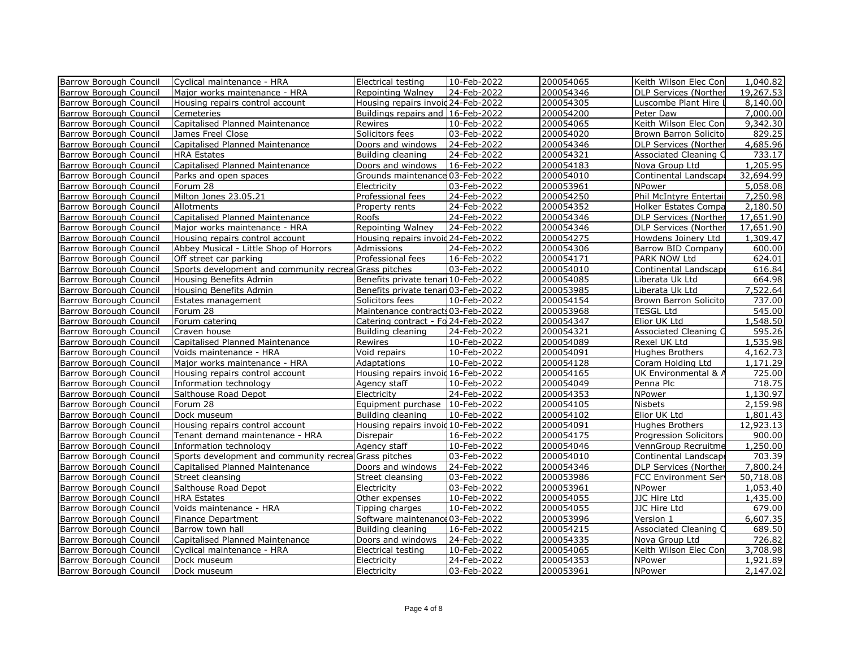| Barrow Borough Council        | Cyclical maintenance - HRA                             | Electrical testing                 | 10-Feb-2022 | 200054065 | Keith Wilson Elec Con        | 1,040.82  |
|-------------------------------|--------------------------------------------------------|------------------------------------|-------------|-----------|------------------------------|-----------|
| Barrow Borough Council        | Major works maintenance - HRA                          | Repointing Walney                  | 24-Feb-2022 | 200054346 | <b>DLP Services (Norther</b> | 19,267.53 |
| Barrow Borough Council        | Housing repairs control account                        | Housing repairs invoid 24-Feb-2022 |             | 200054305 | Luscombe Plant Hire I        | 8,140.00  |
| Barrow Borough Council        | Cemeteries                                             | Buildings repairs and 16-Feb-2022  |             | 200054200 | Peter Daw                    | 7,000.00  |
| Barrow Borough Council        | Capitalised Planned Maintenance                        | Rewires                            | 10-Feb-2022 | 200054065 | Keith Wilson Elec Con        | 9,342.30  |
| Barrow Borough Council        | James Freel Close                                      | Solicitors fees                    | 03-Feb-2022 | 200054020 | Brown Barron Solicito        | 829.25    |
| Barrow Borough Council        | Capitalised Planned Maintenance                        | Doors and windows                  | 24-Feb-2022 | 200054346 | <b>DLP Services (Norther</b> | 4,685.96  |
| Barrow Borough Council        | <b>HRA Estates</b>                                     | Building cleaning                  | 24-Feb-2022 | 200054321 | Associated Cleaning C        | 733.17    |
| Barrow Borough Council        | Capitalised Planned Maintenance                        | Doors and windows                  | 16-Feb-2022 | 200054183 | Nova Group Ltd               | 1,205.95  |
| Barrow Borough Council        | Parks and open spaces                                  | Grounds maintenance 03-Feb-2022    |             | 200054010 | Continental Landscape        | 32,694.99 |
| Barrow Borough Council        | Forum 28                                               | Electricity                        | 03-Feb-2022 | 200053961 | NPower                       | 5,058.08  |
| <b>Barrow Borough Council</b> | Milton Jones 23.05.21                                  | Professional fees                  | 24-Feb-2022 | 200054250 | Phil McIntyre Entertai       | 7,250.98  |
| Barrow Borough Council        | Allotments                                             | Property rents                     | 24-Feb-2022 | 200054352 | <b>Holker Estates Compa</b>  | 2,180.50  |
| Barrow Borough Council        | Capitalised Planned Maintenance                        | Roofs                              | 24-Feb-2022 | 200054346 | <b>DLP Services (Norther</b> | 17,651.90 |
| Barrow Borough Council        | Major works maintenance - HRA                          | Repointing Walney                  | 24-Feb-2022 | 200054346 | DLP Services (Norther        | 17,651.90 |
| Barrow Borough Council        | Housing repairs control account                        | Housing repairs invoid 24-Feb-2022 |             | 200054275 | Howdens Joinery Ltd          | 1,309.47  |
| Barrow Borough Council        | Abbey Musical - Little Shop of Horrors                 | Admissions                         | 24-Feb-2022 | 200054306 | Barrow BID Company           | 600.00    |
| Barrow Borough Council        | Off street car parking                                 | Professional fees                  | 16-Feb-2022 | 200054171 | PARK NOW Ltd                 | 624.01    |
| Barrow Borough Council        | Sports development and community recrea Grass pitches  |                                    | 03-Feb-2022 | 200054010 | Continental Landscape        | 616.84    |
| Barrow Borough Council        | Housing Benefits Admin                                 | Benefits private tenan 10-Feb-2022 |             | 200054085 | Liberata Uk Ltd              | 664.98    |
| Barrow Borough Council        | Housing Benefits Admin                                 | Benefits private tenan 03-Feb-2022 |             | 200053985 | Liberata Uk Ltd              | 7,522.64  |
| Barrow Borough Council        | Estates management                                     | Solicitors fees                    | 10-Feb-2022 | 200054154 | Brown Barron Solicito        | 737.00    |
| Barrow Borough Council        | Forum 28                                               | Maintenance contracts 03-Feb-2022  |             | 200053968 | TESGL Ltd                    | 545.00    |
| Barrow Borough Council        | Forum catering                                         | Catering contract - Fo 24-Feb-2022 |             | 200054347 | Elior UK Ltd                 | 1,548.50  |
| Barrow Borough Council        | Craven house                                           | Building cleaning                  | 24-Feb-2022 | 200054321 | Associated Cleaning C        | 595.26    |
| Barrow Borough Council        | Capitalised Planned Maintenance                        | Rewires                            | 10-Feb-2022 | 200054089 | Rexel UK Ltd                 | 1,535.98  |
| Barrow Borough Council        | Voids maintenance - HRA                                | Void repairs                       | 10-Feb-2022 | 200054091 | <b>Hughes Brothers</b>       | 4,162.73  |
| Barrow Borough Council        | Major works maintenance - HRA                          | Adaptations                        | 10-Feb-2022 | 200054128 | Coram Holding Ltd            | 1,171.29  |
| Barrow Borough Council        | Housing repairs control account                        | Housing repairs invoid 16-Feb-2022 |             | 200054165 | UK Environmental & A         | 725.00    |
| Barrow Borough Council        | Information technology                                 | Agency staff                       | 10-Feb-2022 | 200054049 | Penna Plc                    | 718.75    |
| Barrow Borough Council        | Salthouse Road Depot                                   | Electricity                        | 24-Feb-2022 | 200054353 | NPower                       | 1,130.97  |
| Barrow Borough Council        | Forum 28                                               | Equipment purchase 10-Feb-2022     |             | 200054105 | <b>Nisbets</b>               | 2,159.98  |
| Barrow Borough Council        | Dock museum                                            | Building cleaning                  | 10-Feb-2022 | 200054102 | Elior UK Ltd                 | 1,801.43  |
| Barrow Borough Council        | Housing repairs control account                        | Housing repairs invoid 10-Feb-2022 |             | 200054091 | Hughes Brothers              | 12,923.13 |
| Barrow Borough Council        | Tenant demand maintenance - HRA                        | Disrepair                          | 16-Feb-2022 | 200054175 | Progression Solicitors       | 900.00    |
| Barrow Borough Council        | Information technology                                 | Agency staff                       | 10-Feb-2022 | 200054046 | VennGroup Recruitme          | 1,250.00  |
| Barrow Borough Council        | Sports development and community recreal Grass pitches |                                    | 03-Feb-2022 | 200054010 | Continental Landscap         | 703.39    |
| Barrow Borough Council        | Capitalised Planned Maintenance                        | Doors and windows                  | 24-Feb-2022 | 200054346 | <b>DLP Services (Norther</b> | 7,800.24  |
| Barrow Borough Council        | Street cleansing                                       | Street cleansing                   | 03-Feb-2022 | 200053986 | <b>FCC Environment Ser</b>   | 50,718.08 |
| Barrow Borough Council        | Salthouse Road Depot                                   | Electricity                        | 03-Feb-2022 | 200053961 | NPower                       | 1,053,40  |
| Barrow Borough Council        | <b>HRA Estates</b>                                     | Other expenses                     | 10-Feb-2022 | 200054055 | JJC Hire Ltd                 | 1,435.00  |
| Barrow Borough Council        | Voids maintenance - HRA                                | Tipping charges                    | 10-Feb-2022 | 200054055 | JJC Hire Ltd                 | 679.00    |
| Barrow Borough Council        | Finance Department                                     | Software maintenance 03-Feb-2022   |             | 200053996 | Version 1                    | 6,607.35  |
| Barrow Borough Council        | Barrow town hall                                       | Building cleaning                  | 16-Feb-2022 | 200054215 | Associated Cleaning C        | 689.50    |
| Barrow Borough Council        | Capitalised Planned Maintenance                        | Doors and windows                  | 24-Feb-2022 | 200054335 | Nova Group Ltd               | 726.82    |
| Barrow Borough Council        | Cyclical maintenance - HRA                             | Electrical testing                 | 10-Feb-2022 | 200054065 | Keith Wilson Elec Con        | 3,708.98  |
| Barrow Borough Council        | Dock museum                                            | Electricity                        | 24-Feb-2022 | 200054353 | NPower                       | 1,921.89  |
| <b>Barrow Borough Council</b> | Dock museum                                            | Electricity                        | 03-Feb-2022 | 200053961 | <b>NPower</b>                | 2,147.02  |
|                               |                                                        |                                    |             |           |                              |           |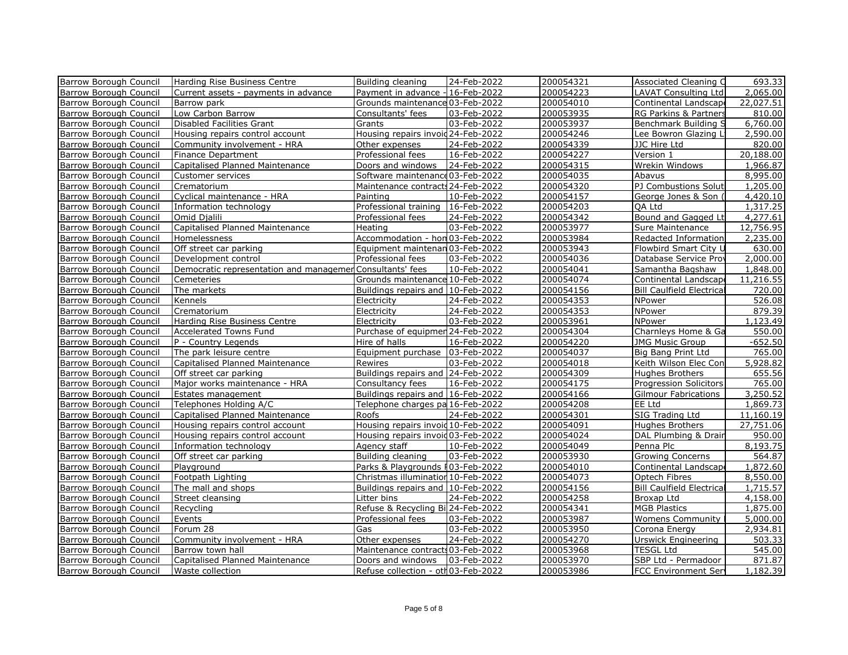| Barrow Borough Council        | Harding Rise Business Centre                              | Building cleaning                  | 24-Feb-2022 | 200054321 | Associated Cleaning O            | 693.33    |
|-------------------------------|-----------------------------------------------------------|------------------------------------|-------------|-----------|----------------------------------|-----------|
| Barrow Borough Council        | Current assets - payments in advance                      | Payment in advance - 16-Feb-2022   |             | 200054223 | LAVAT Consulting Ltd             | 2,065.00  |
| Barrow Borough Council        | Barrow park                                               | Grounds maintenance 03-Feb-2022    |             | 200054010 | Continental Landscape            | 22,027.51 |
| Barrow Borough Council        | Low Carbon Barrow                                         | Consultants' fees                  | 03-Feb-2022 | 200053935 | RG Parkins & Partners            | 810.00    |
| Barrow Borough Council        | Disabled Facilities Grant                                 | Grants                             | 03-Feb-2022 | 200053937 | Benchmark Building S             | 6,760.00  |
| Barrow Borough Council        | Housing repairs control account                           | Housing repairs invoid 24-Feb-2022 |             | 200054246 | Lee Bowron Glazing L             | 2,590.00  |
| Barrow Borough Council        | Community involvement - HRA                               | Other expenses                     | 24-Feb-2022 | 200054339 | JJC Hire Ltd                     | 820.00    |
| <b>Barrow Borough Council</b> | Finance Department                                        | Professional fees                  | 16-Feb-2022 | 200054227 | Version 1                        | 20,188.00 |
| Barrow Borough Council        | Capitalised Planned Maintenance                           | Doors and windows                  | 24-Feb-2022 | 200054315 | Wrekin Windows                   | 1,966.87  |
| Barrow Borough Council        | Customer services                                         | Software maintenance 03-Feb-2022   |             | 200054035 | Abavus                           | 8,995.00  |
| Barrow Borough Council        | Crematorium                                               | Maintenance contracts 24-Feb-2022  |             | 200054320 | PJ Combustions Soluti            | 1,205.00  |
| Barrow Borough Council        | Cyclical maintenance - HRA                                | Painting                           | 10-Feb-2022 | 200054157 | George Jones & Son (             | 4,420.10  |
| <b>Barrow Borough Council</b> | Information technology                                    | Professional training 16-Feb-2022  |             | 200054203 | QA Ltd                           | 1,317.25  |
| Barrow Borough Council        | Omid Djalili                                              | Professional fees                  | 24-Feb-2022 | 200054342 | Bound and Gagged Lt              | 4,277.61  |
| Barrow Borough Council        | Capitalised Planned Maintenance                           | Heating                            | 03-Feb-2022 | 200053977 | Sure Maintenance                 | 12,756.95 |
| Barrow Borough Council        | Homelessness                                              | Accommodation - hon 03-Feb-2022    |             | 200053984 | Redacted Information             | 2,235.00  |
| Barrow Borough Council        | Off street car parking                                    | Equipment maintenan 03-Feb-2022    |             | 200053943 | Flowbird Smart City U            | 630.00    |
| Barrow Borough Council        | Development control                                       | Professional fees                  | 03-Feb-2022 | 200054036 | Database Service Prov            | 2,000.00  |
| Barrow Borough Council        | Democratic representation and managemer Consultants' fees |                                    | 10-Feb-2022 | 200054041 | Samantha Bagshaw                 | 1,848.00  |
| Barrow Borough Council        | Cemeteries                                                | Grounds maintenance 10-Feb-2022    |             | 200054074 | Continental Landscape            | 11,216.55 |
| <b>Barrow Borough Council</b> | The markets                                               | Buildings repairs and 10-Feb-2022  |             | 200054156 | <b>Bill Caulfield Electrical</b> | 720.00    |
| Barrow Borough Council        | Kennels                                                   | Electricity                        | 24-Feb-2022 | 200054353 | NPower                           | 526.08    |
| Barrow Borough Council        | Crematorium                                               | Electricity                        | 24-Feb-2022 | 200054353 | NPower                           | 879.39    |
| Barrow Borough Council        | Harding Rise Business Centre                              | Electricity                        | 03-Feb-2022 | 200053961 | <b>NPower</b>                    | 1,123.49  |
| Barrow Borough Council        | <b>Accelerated Towns Fund</b>                             | Purchase of equipmer 24-Feb-2022   |             | 200054304 | Charnleys Home & Ga              | 550.00    |
| Barrow Borough Council        | P - Country Legends                                       | Hire of halls                      | 16-Feb-2022 | 200054220 | <b>JMG Music Group</b>           | $-652.50$ |
| Barrow Borough Council        | The park leisure centre                                   | Equipment purchase 03-Feb-2022     |             | 200054037 | Big Bang Print Ltd               | 765.00    |
| Barrow Borough Council        | Capitalised Planned Maintenance                           | Rewires                            | 03-Feb-2022 | 200054018 | Keith Wilson Elec Con            | 5,928.82  |
| Barrow Borough Council        | Off street car parking                                    | Buildings repairs and 24-Feb-2022  |             | 200054309 | Hughes Brothers                  | 655.56    |
| Barrow Borough Council        | Major works maintenance - HRA                             | Consultancy fees                   | 16-Feb-2022 | 200054175 | Progression Solicitors           | 765.00    |
| <b>Barrow Borough Council</b> | Estates management                                        | Buildings repairs and 16-Feb-2022  |             | 200054166 | <b>Gilmour Fabrications</b>      | 3,250.52  |
| <b>Barrow Borough Council</b> | Telephones Holding A/C                                    | Telephone charges pa 16-Feb-2022   |             | 200054208 | EE Ltd                           | 1,869.73  |
| Barrow Borough Council        | Capitalised Planned Maintenance                           | Roofs                              | 24-Feb-2022 | 200054301 | SIG Trading Ltd                  | 11,160.19 |
| Barrow Borough Council        | Housing repairs control account                           | Housing repairs invoid 10-Feb-2022 |             | 200054091 | <b>Hughes Brothers</b>           | 27,751.06 |
| Barrow Borough Council        | Housing repairs control account                           | Housing repairs invoid 03-Feb-2022 |             | 200054024 | DAL Plumbing & Drain             | 950.00    |
| Barrow Borough Council        | Information technology                                    | Agency staff                       | 10-Feb-2022 | 200054049 | Penna Plc                        | 8,193.75  |
| Barrow Borough Council        | Off street car parking                                    | Building cleaning                  | 03-Feb-2022 | 200053930 | <b>Growing Concerns</b>          | 564.87    |
| Barrow Borough Council        | Playground                                                | Parks & Playgrounds F03-Feb-2022   |             | 200054010 | Continental Landscape            | 1,872.60  |
| Barrow Borough Council        | Footpath Lighting                                         | Christmas illumination 10-Feb-2022 |             | 200054073 | Optech Fibres                    | 8,550.00  |
| <b>Barrow Borough Council</b> | The mall and shops                                        | Buildings repairs and 10-Feb-2022  |             | 200054156 | <b>Bill Caulfield Electrical</b> | 1,715.57  |
| <b>Barrow Borough Council</b> | Street cleansing                                          | Litter bins                        | 24-Feb-2022 | 200054258 | Broxap Ltd                       | 4,158.00  |
| Barrow Borough Council        | Recycling                                                 | Refuse & Recycling Bi 24-Feb-2022  |             | 200054341 | <b>MGB Plastics</b>              | 1,875.00  |
| Barrow Borough Council        | Events                                                    | Professional fees                  | 03-Feb-2022 | 200053987 | <b>Womens Community</b>          | 5,000.00  |
| Barrow Borough Council        | Forum 28                                                  | Gas                                | 03-Feb-2022 | 200053950 | Corona Energy                    | 2,934.81  |
| Barrow Borough Council        | Community involvement - HRA                               | Other expenses                     | 24-Feb-2022 | 200054270 | Urswick Engineering              | 503.33    |
| <b>Barrow Borough Council</b> | Barrow town hall                                          | Maintenance contracts 03-Feb-2022  |             | 200053968 | <b>TESGL Ltd</b>                 | 545.00    |
| Barrow Borough Council        | Capitalised Planned Maintenance                           | Doors and windows                  | 03-Feb-2022 | 200053970 | SBP Ltd - Permadoor              | 871.87    |
| Barrow Borough Council        | Waste collection                                          | Refuse collection - oth03-Feb-2022 |             | 200053986 | <b>FCC Environment Serv</b>      | 1,182.39  |
|                               |                                                           |                                    |             |           |                                  |           |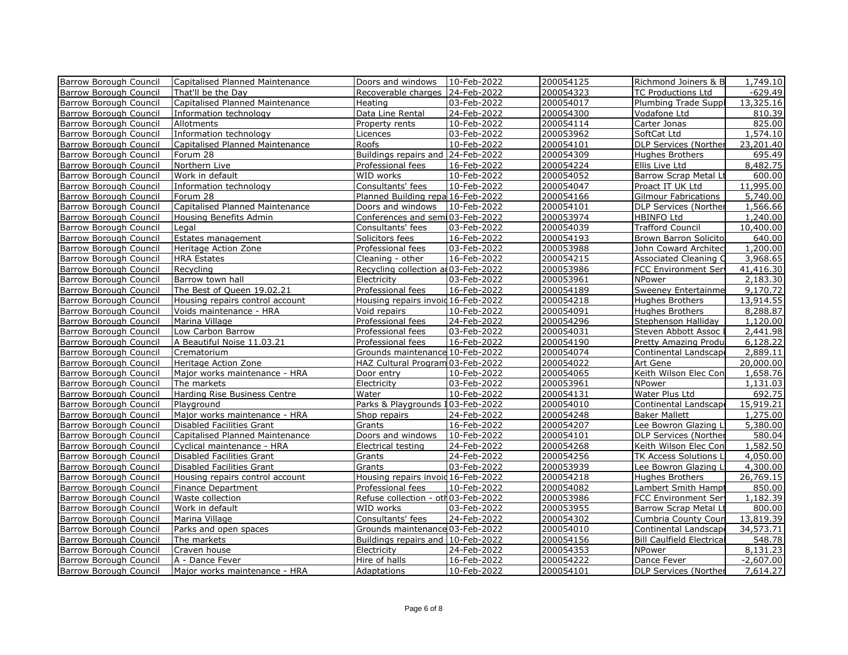| Barrow Borough Council        | Capitalised Planned Maintenance | Doors and windows                   | 10-Feb-2022 | 200054125 | Richmond Joiners & B             | 1,749.10               |
|-------------------------------|---------------------------------|-------------------------------------|-------------|-----------|----------------------------------|------------------------|
| Barrow Borough Council        | That'll be the Day              | Recoverable charges   24-Feb-2022   |             | 200054323 | TC Productions Ltd               | $-629.49$              |
| Barrow Borough Council        | Capitalised Planned Maintenance | Heating                             | 03-Feb-2022 | 200054017 | Plumbing Trade Suppl             | 13,325.16              |
| Barrow Borough Council        | Information technology          | Data Line Rental                    | 24-Feb-2022 | 200054300 | Vodafone Ltd                     | 810.39                 |
| Barrow Borough Council        | Allotments                      | Property rents                      | 10-Feb-2022 | 200054114 | Carter Jonas                     | 825.00                 |
| Barrow Borough Council        | Information technology          | Licences                            | 03-Feb-2022 | 200053962 | SoftCat Ltd                      | 1,574.10               |
| Barrow Borough Council        | Capitalised Planned Maintenance | Roofs                               | 10-Feb-2022 | 200054101 | <b>DLP Services (Norther</b>     | 23,201.40              |
| Barrow Borough Council        | Forum 28                        | Buildings repairs and 24-Feb-2022   |             | 200054309 | <b>Hughes Brothers</b>           | 695.49                 |
| Barrow Borough Council        | Northern Live                   | Professional fees                   | 16-Feb-2022 | 200054224 | Ellis Live Ltd                   | 8,482.75               |
| Barrow Borough Council        | Work in default                 | WID works                           | 10-Feb-2022 | 200054052 | Barrow Scrap Metal Lt            | 600.00                 |
| Barrow Borough Council        | Information technology          | Consultants' fees                   | 10-Feb-2022 | 200054047 | Proact IT UK Ltd                 | 11,995.00              |
| Barrow Borough Council        | Forum 28                        | Planned Building repa 16-Feb-2022   |             | 200054166 | <b>Gilmour Fabrications</b>      | 5,740.00               |
| Barrow Borough Council        | Capitalised Planned Maintenance | Doors and windows                   | 10-Feb-2022 | 200054101 | <b>DLP Services (Norther</b>     | 1,566.66               |
| Barrow Borough Council        | Housing Benefits Admin          | Conferences and semi03-Feb-2022     |             | 200053974 | <b>HBINFO Ltd</b>                | 1,240.00               |
| Barrow Borough Council        | Legal                           | Consultants' fees                   | 03-Feb-2022 | 200054039 | <b>Trafford Council</b>          | 10,400.00              |
| Barrow Borough Council        | Estates management              | Solicitors fees                     | 16-Feb-2022 | 200054193 | Brown Barron Solicito            | 640.00                 |
| Barrow Borough Council        | Heritage Action Zone            | Professional fees                   | 03-Feb-2022 | 200053988 | John Coward Architect            | 1,200.00               |
| Barrow Borough Council        | <b>HRA Estates</b>              | Cleaning - other                    | 16-Feb-2022 | 200054215 | Associated Cleaning C            | 3,968.65               |
| Barrow Borough Council        | Recycling                       | Recycling collection at 03-Feb-2022 |             | 200053986 | FCC Environment Serv             | 41,416.30              |
| Barrow Borough Council        | Barrow town hall                | Electricity                         | 03-Feb-2022 | 200053961 | NPower                           | 2,183.30               |
| Barrow Borough Council        | The Best of Queen 19.02.21      | Professional fees                   | 16-Feb-2022 | 200054189 | Sweeney Entertainme              | 9,170.72               |
| Barrow Borough Council        | Housing repairs control account | Housing repairs invoid 16-Feb-2022  |             | 200054218 | Hughes Brothers                  | 13,914.55              |
| Barrow Borough Council        | Voids maintenance - HRA         | Void repairs                        | 10-Feb-2022 | 200054091 | Hughes Brothers                  | 8,288.87               |
| Barrow Borough Council        | Marina Village                  | Professional fees                   | 24-Feb-2022 | 200054296 | Stephenson Halliday              | 1,120.00               |
| Barrow Borough Council        | Low Carbon Barrow               | Professional fees                   | 03-Feb-2022 | 200054031 | Steven Abbott Assoc              | 2,441.98               |
| Barrow Borough Council        | A Beautiful Noise 11.03.21      | Professional fees                   | 16-Feb-2022 | 200054190 | Pretty Amazing Produ             | 6,128.22               |
| <b>Barrow Borough Council</b> | Crematorium                     | Grounds maintenance 10-Feb-2022     |             | 200054074 | Continental Landscape            | 2,889.11               |
| Barrow Borough Council        | Heritage Action Zone            | HAZ Cultural Program 03-Feb-2022    |             | 200054022 | Art Gene                         | 20,000.00              |
| Barrow Borough Council        | Major works maintenance - HRA   | Door entry                          | 10-Feb-2022 | 200054065 | Keith Wilson Elec Con            | 1,658.76               |
| <b>Barrow Borough Council</b> | The markets                     | Electricity                         | 03-Feb-2022 | 200053961 | NPower                           | 1,131.03               |
| Barrow Borough Council        | Harding Rise Business Centre    | Water                               | 10-Feb-2022 | 200054131 | Water Plus Ltd                   | 692.75                 |
| Barrow Borough Council        | Playground                      | Parks & Playgrounds 103-Feb-2022    |             | 200054010 | Continental Landscape            | 15,919.21              |
| Barrow Borough Council        | Major works maintenance - HRA   | Shop repairs                        | 24-Feb-2022 | 200054248 | <b>Baker Mallett</b>             | 1,275.00               |
| Barrow Borough Council        | Disabled Facilities Grant       | Grants                              | 16-Feb-2022 | 200054207 | Lee Bowron Glazing L             | 5,380.00               |
| Barrow Borough Council        | Capitalised Planned Maintenance | Doors and windows                   | 10-Feb-2022 | 200054101 | DLP Services (Norther            | 580.04                 |
| Barrow Borough Council        | Cyclical maintenance - HRA      | Electrical testing                  | 24-Feb-2022 | 200054268 | Keith Wilson Elec Con            | 1,582.50               |
| Barrow Borough Council        | Disabled Facilities Grant       | Grants                              | 24-Feb-2022 | 200054256 | TK Access Solutions L            | 4,050.00               |
| Barrow Borough Council        | Disabled Facilities Grant       | Grants                              | 03-Feb-2022 | 200053939 | Lee Bowron Glazing Lt            | 4,300.00               |
| <b>Barrow Borough Council</b> | Housing repairs control account | Housing repairs invoid 16-Feb-2022  |             | 200054218 | Hughes Brothers                  | 26,769.15              |
| Barrow Borough Council        | Finance Department              | Professional fees                   | 10-Feb-2022 | 200054082 | Lambert Smith Hampt              | 850.00                 |
| Barrow Borough Council        | Waste collection                | Refuse collection - oth 03-Feb-2022 |             | 200053986 | <b>FCC Environment Serv</b>      | 1,182.39               |
| <b>Barrow Borough Council</b> | Work in default                 | WID works                           | 03-Feb-2022 | 200053955 | Barrow Scrap Metal Lt            | 800.00                 |
| Barrow Borough Council        | Marina Village                  | Consultants' fees                   | 24-Feb-2022 | 200054302 | Cumbria County Coun              | 13,819.39              |
| Barrow Borough Council        | Parks and open spaces           | Grounds maintenance 03-Feb-2022     |             | 200054010 | Continental Landscape            | 34,573.71              |
| Barrow Borough Council        | The markets                     | Buildings repairs and 10-Feb-2022   |             | 200054156 | <b>Bill Caulfield Electrical</b> | 548.78                 |
|                               |                                 |                                     |             | 200054353 |                                  | 8,131.23               |
| Barrow Borough Council        | Craven house                    | Electricity                         | 24-Feb-2022 |           | NPower                           | $\overline{-2,607.00}$ |
| Barrow Borough Council        | A - Dance Fever                 | Hire of halls                       | 16-Feb-2022 | 200054222 | Dance Fever                      |                        |
| Barrow Borough Council        | Major works maintenance - HRA   | <b>Adaptations</b>                  | 10-Feb-2022 | 200054101 | <b>DLP Services (Norther</b>     | 7.614.27               |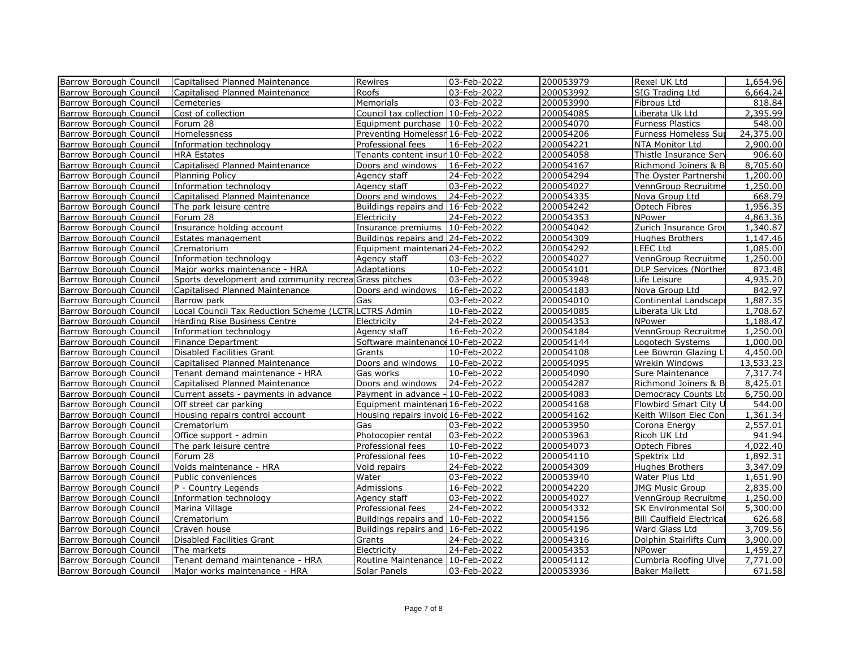| Barrow Borough Council        | Capitalised Planned Maintenance                        | Rewires                            | 03-Feb-2022 | 200053979 | Rexel UK Ltd                     | $\overline{1,654.96}$ |
|-------------------------------|--------------------------------------------------------|------------------------------------|-------------|-----------|----------------------------------|-----------------------|
| Barrow Borough Council        | Capitalised Planned Maintenance                        | Roofs                              | 03-Feb-2022 | 200053992 | SIG Trading Ltd                  | 6,664.24              |
| Barrow Borough Council        | Cemeteries                                             | Memorials                          | 03-Feb-2022 | 200053990 | Fibrous Ltd                      | 818.84                |
| Barrow Borough Council        | Cost of collection                                     | Council tax collection 10-Feb-2022 |             | 200054085 | Liberata Uk Ltd                  | 2,395.99              |
| Barrow Borough Council        | Forum 28                                               | Equipment purchase   10-Feb-2022   |             | 200054070 | <b>Furness Plastics</b>          | 548.00                |
| Barrow Borough Council        | Homelessness                                           | Preventing Homelessn 16-Feb-2022   |             | 200054206 | Furness Homeless Sur             | 24,375.00             |
| Barrow Borough Council        | Information technology                                 | Professional fees                  | 16-Feb-2022 | 200054221 | NTA Monitor Ltd                  | 2,900.00              |
| Barrow Borough Council        | <b>HRA Estates</b>                                     | Tenants content insur 10-Feb-2022  |             | 200054058 | Thistle Insurance Serv           | 906.60                |
| Barrow Borough Council        | Capitalised Planned Maintenance                        | Doors and windows                  | 16-Feb-2022 | 200054167 | Richmond Joiners & B             | 8,705.60              |
| Barrow Borough Council        | <b>Planning Policy</b>                                 | Agency staff                       | 24-Feb-2022 | 200054294 | The Oyster Partnershi            | 1,200.00              |
| Barrow Borough Council        | Information technology                                 | Agency staff                       | 03-Feb-2022 | 200054027 | VennGroup Recruitme              | $\overline{1,}250.00$ |
| Barrow Borough Council        | Capitalised Planned Maintenance                        | Doors and windows                  | 24-Feb-2022 | 200054335 | Nova Group Ltd                   | 668.79                |
| Barrow Borough Council        | The park leisure centre                                | Buildings repairs and 16-Feb-2022  |             | 200054242 | Optech Fibres                    | 1,956.35              |
| Barrow Borough Council        | Forum 28                                               | Electricity                        | 24-Feb-2022 | 200054353 | NPower                           | 4,863.36              |
| Barrow Borough Council        | Insurance holding account                              | Insurance premiums   10-Feb-2022   |             | 200054042 | Zurich Insurance Grou            | 1,340.87              |
| Barrow Borough Council        | Estates management                                     | Buildings repairs and 24-Feb-2022  |             | 200054309 | Hughes Brothers                  | 1,147.46              |
| Barrow Borough Council        | Crematorium                                            | Equipment maintenan 24-Feb-2022    |             | 200054292 | LEEC Ltd                         | 1,085.00              |
| Barrow Borough Council        | Information technology                                 | Agency staff                       | 03-Feb-2022 | 200054027 | VennGroup Recruitme              | 1,250.00              |
| Barrow Borough Council        | Major works maintenance - HRA                          | Adaptations                        | 10-Feb-2022 | 200054101 | <b>DLP Services (Norther</b>     | 873.48                |
| Barrow Borough Council        | Sports development and community recreal Grass pitches |                                    | 03-Feb-2022 | 200053948 | Life Leisure                     | $\overline{4,}935.20$ |
| <b>Barrow Borough Council</b> | Capitalised Planned Maintenance                        | Doors and windows                  | 16-Feb-2022 | 200054183 | Nova Group Ltd                   | 842.97                |
| Barrow Borough Council        | Barrow park                                            | Gas                                | 03-Feb-2022 | 200054010 | Continental Landscape            | 1,887.35              |
| Barrow Borough Council        | Local Council Tax Reduction Scheme (LCTR LCTRS Admin   |                                    | 10-Feb-2022 | 200054085 | Liberata Uk Ltd                  | 1,708.67              |
| Barrow Borough Council        | Harding Rise Business Centre                           | Electricity                        | 24-Feb-2022 | 200054353 | NPower                           | 1,188.47              |
| Barrow Borough Council        | Information technology                                 | Agency staff                       | 16-Feb-2022 | 200054184 | VennGroup Recruitme              | 1,250.00              |
| Barrow Borough Council        | Finance Department                                     | Software maintenance 10-Feb-2022   |             | 200054144 | Logotech Systems                 | 1,000.00              |
| Barrow Borough Council        | Disabled Facilities Grant                              | Grants                             | 10-Feb-2022 | 200054108 | Lee Bowron Glazing Li            | 4,450.00              |
| Barrow Borough Council        | Capitalised Planned Maintenance                        | Doors and windows                  | 10-Feb-2022 | 200054095 | Wrekin Windows                   | 13,533.23             |
| Barrow Borough Council        | Tenant demand maintenance - HRA                        | Gas works                          | 10-Feb-2022 | 200054090 | Sure Maintenance                 | 7,317.74              |
| Barrow Borough Council        | Capitalised Planned Maintenance                        | Doors and windows                  | 24-Feb-2022 | 200054287 | Richmond Joiners & B             | 8,425.01              |
| <b>Barrow Borough Council</b> | Current assets - payments in advance                   | Payment in advance - 10-Feb-2022   |             | 200054083 | Democracy Counts Ltd             | 6,750.00              |
| Barrow Borough Council        | Off street car parking                                 | Equipment maintenan 16-Feb-2022    |             | 200054168 | Flowbird Smart City U            | 544.00                |
| Barrow Borough Council        | Housing repairs control account                        | Housing repairs invoid 16-Feb-2022 |             | 200054162 | Keith Wilson Elec Con            | 1,361.34              |
| Barrow Borough Council        | Crematorium                                            | Gas                                | 03-Feb-2022 | 200053950 | Corona Energy                    | 2,557.01              |
| Barrow Borough Council        | Office support - admin                                 | Photocopier rental                 | 03-Feb-2022 | 200053963 | Ricoh UK Ltd                     | 941.94                |
| Barrow Borough Council        | The park leisure centre                                | Professional fees                  | 10-Feb-2022 | 200054073 | Optech Fibres                    | 4,022,40              |
| Barrow Borough Council        | Forum 28                                               | Professional fees                  | 10-Feb-2022 | 200054110 | Spektrix Ltd                     | 1,892.31              |
| Barrow Borough Council        | Voids maintenance - HRA                                | Void repairs                       | 24-Feb-2022 | 200054309 | <b>Hughes Brothers</b>           | 3,347.09              |
| Barrow Borough Council        | Public conveniences                                    | Water                              | 03-Feb-2022 | 200053940 | Water Plus Ltd                   | 1,651.90              |
| <b>Barrow Borough Council</b> | P - Country Legends                                    | Admissions                         | 16-Feb-2022 | 200054220 | <b>JMG Music Group</b>           | 2,835.00              |
| Barrow Borough Council        | Information technology                                 | Agency staff                       | 03-Feb-2022 | 200054027 | VennGroup Recruitme              | 1,250.00              |
| Barrow Borough Council        | Marina Village                                         | Professional fees                  | 24-Feb-2022 | 200054332 | SK Environmental Sol             | 5,300.00              |
| Barrow Borough Council        | Crematorium                                            | Buildings repairs and 10-Feb-2022  |             | 200054156 | <b>Bill Caulfield Electrical</b> | 626.68                |
| Barrow Borough Council        | Craven house                                           | Buildings repairs and 16-Feb-2022  |             | 200054196 | Ward Glass Ltd                   | 3,709.56              |
| Barrow Borough Council        | <b>Disabled Facilities Grant</b>                       | Grants                             | 24-Feb-2022 | 200054316 | Dolphin Stairlifts Cum           | 3,900.00              |
| Barrow Borough Council        | The markets                                            | Electricity                        | 24-Feb-2022 | 200054353 | NPower                           | 1,459.27              |
| Barrow Borough Council        | Tenant demand maintenance - HRA                        | Routine Maintenance   10-Feb-2022  |             | 200054112 | Cumbria Roofing Ulve             | 7,771.00              |
| Barrow Borough Council        | Major works maintenance - HRA                          | Solar Panels                       | 03-Feb-2022 | 200053936 | <b>Baker Mallett</b>             | 671.58                |